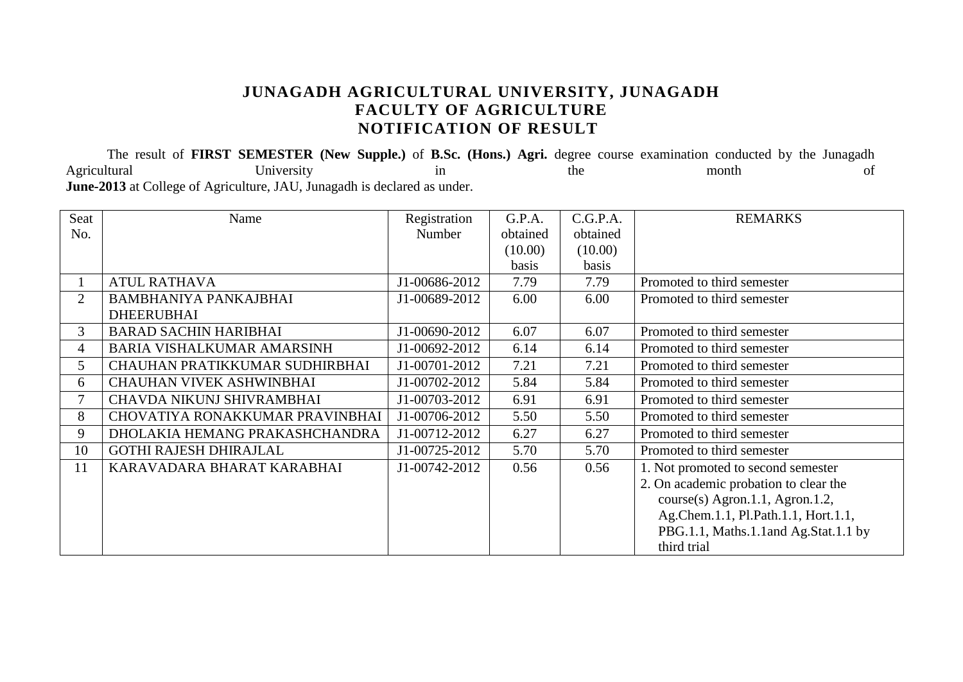### **JUNAGADH AGRICULTURAL UNIVERSITY, JUNAGADH FACULTY OF AGRICULTURE NOTIFICATION OF RESULT**

The result of **FIRST SEMESTER** (New Supple.) of **B.Sc. (Hons.) Agri.** degree course examination conducted by the Junagadh<br>month the month of Agricultural **Example 1** University in the month of of **June-2013** at College of Agriculture, JAU, Junagadh is declared as under.

| Seat           | Name                              | Registration  | G.P.A.   | C.G.P.A. | <b>REMARKS</b>                        |
|----------------|-----------------------------------|---------------|----------|----------|---------------------------------------|
| No.            |                                   | Number        | obtained | obtained |                                       |
|                |                                   |               | (10.00)  | (10.00)  |                                       |
|                |                                   |               | basis    | basis    |                                       |
|                | <b>ATUL RATHAVA</b>               | J1-00686-2012 | 7.79     | 7.79     | Promoted to third semester            |
| $\overline{2}$ | <b>BAMBHANIYA PANKAJBHAI</b>      | J1-00689-2012 | 6.00     | 6.00     | Promoted to third semester            |
|                | <b>DHEERUBHAI</b>                 |               |          |          |                                       |
| $\mathfrak{Z}$ | <b>BARAD SACHIN HARIBHAI</b>      | J1-00690-2012 | 6.07     | 6.07     | Promoted to third semester            |
| $\overline{4}$ | <b>BARIA VISHALKUMAR AMARSINH</b> | J1-00692-2012 | 6.14     | 6.14     | Promoted to third semester            |
| 5              | CHAUHAN PRATIKKUMAR SUDHIRBHAI    | J1-00701-2012 | 7.21     | 7.21     | Promoted to third semester            |
| 6              | <b>CHAUHAN VIVEK ASHWINBHAI</b>   | J1-00702-2012 | 5.84     | 5.84     | Promoted to third semester            |
| 7              | CHAVDA NIKUNJ SHIVRAMBHAI         | J1-00703-2012 | 6.91     | 6.91     | Promoted to third semester            |
| 8              | CHOVATIYA RONAKKUMAR PRAVINBHAI   | J1-00706-2012 | 5.50     | 5.50     | Promoted to third semester            |
| 9              | DHOLAKIA HEMANG PRAKASHCHANDRA    | J1-00712-2012 | 6.27     | 6.27     | Promoted to third semester            |
| 10             | <b>GOTHI RAJESH DHIRAJLAL</b>     | J1-00725-2012 | 5.70     | 5.70     | Promoted to third semester            |
| 11             | KARAVADARA BHARAT KARABHAI        | J1-00742-2012 | 0.56     | 0.56     | 1. Not promoted to second semester    |
|                |                                   |               |          |          | 2. On academic probation to clear the |
|                |                                   |               |          |          | $course(s)$ Agron.1.1, Agron.1.2,     |
|                |                                   |               |          |          | Ag.Chem.1.1, Pl.Path.1.1, Hort.1.1,   |
|                |                                   |               |          |          | PBG.1.1, Maths.1.1 and Ag.Stat.1.1 by |
|                |                                   |               |          |          | third trial                           |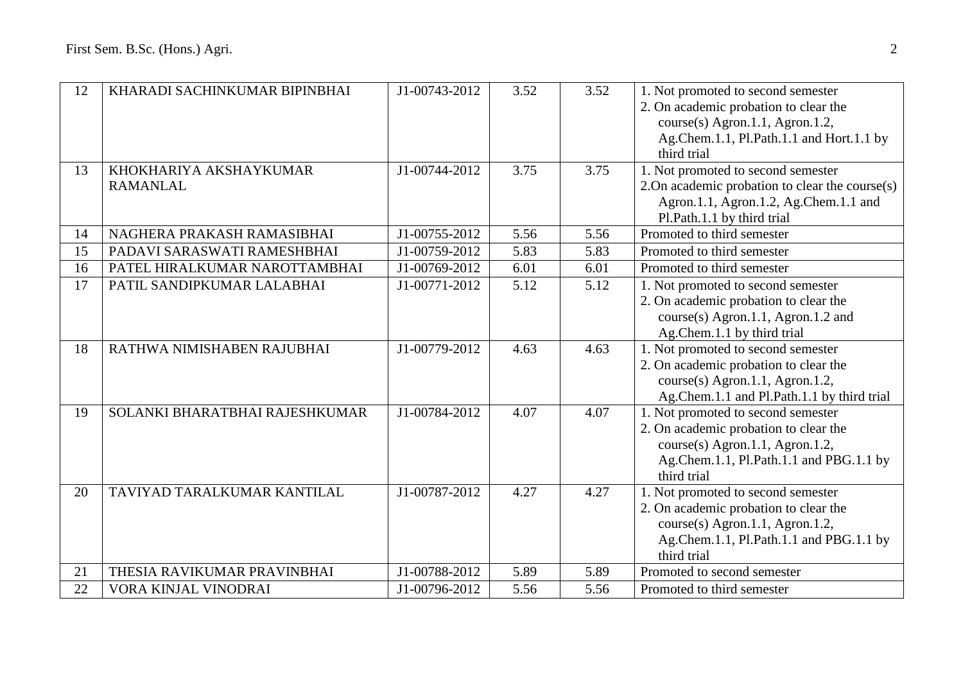| 12 | KHARADI SACHINKUMAR BIPINBHAI             | J1-00743-2012 | 3.52 | 3.52 | 1. Not promoted to second semester<br>2. On academic probation to clear the<br>course(s) Agron.1.1, Agron.1.2,<br>Ag.Chem.1.1, Pl.Path.1.1 and Hort.1.1 by<br>third trial |
|----|-------------------------------------------|---------------|------|------|---------------------------------------------------------------------------------------------------------------------------------------------------------------------------|
| 13 | KHOKHARIYA AKSHAYKUMAR<br><b>RAMANLAL</b> | J1-00744-2012 | 3.75 | 3.75 | 1. Not promoted to second semester<br>2. On academic probation to clear the course $(s)$<br>Agron.1.1, Agron.1.2, Ag.Chem.1.1 and<br>Pl.Path.1.1 by third trial           |
| 14 | NAGHERA PRAKASH RAMASIBHAI                | J1-00755-2012 | 5.56 | 5.56 | Promoted to third semester                                                                                                                                                |
| 15 | PADAVI SARASWATI RAMESHBHAI               | J1-00759-2012 | 5.83 | 5.83 | Promoted to third semester                                                                                                                                                |
| 16 | PATEL HIRALKUMAR NAROTTAMBHAI             | J1-00769-2012 | 6.01 | 6.01 | Promoted to third semester                                                                                                                                                |
| 17 | PATIL SANDIPKUMAR LALABHAI                | J1-00771-2012 | 5.12 | 5.12 | 1. Not promoted to second semester<br>2. On academic probation to clear the<br>course(s) Agron.1.1, Agron.1.2 and<br>Ag.Chem.1.1 by third trial                           |
| 18 | RATHWA NIMISHABEN RAJUBHAI                | J1-00779-2012 | 4.63 | 4.63 | 1. Not promoted to second semester<br>2. On academic probation to clear the<br>course(s) Agron.1.1, Agron.1.2,<br>Ag.Chem.1.1 and Pl.Path.1.1 by third trial              |
| 19 | SOLANKI BHARATBHAI RAJESHKUMAR            | J1-00784-2012 | 4.07 | 4.07 | 1. Not promoted to second semester<br>2. On academic probation to clear the<br>course(s) Agron.1.1, Agron.1.2,<br>Ag.Chem.1.1, Pl.Path.1.1 and PBG.1.1 by<br>third trial  |
| 20 | TAVIYAD TARALKUMAR KANTILAL               | J1-00787-2012 | 4.27 | 4.27 | 1. Not promoted to second semester<br>2. On academic probation to clear the<br>course(s) Agron.1.1, Agron.1.2,<br>Ag.Chem.1.1, Pl.Path.1.1 and PBG.1.1 by<br>third trial  |
| 21 | THESIA RAVIKUMAR PRAVINBHAI               | J1-00788-2012 | 5.89 | 5.89 | Promoted to second semester                                                                                                                                               |
| 22 | VORA KINJAL VINODRAI                      | J1-00796-2012 | 5.56 | 5.56 | Promoted to third semester                                                                                                                                                |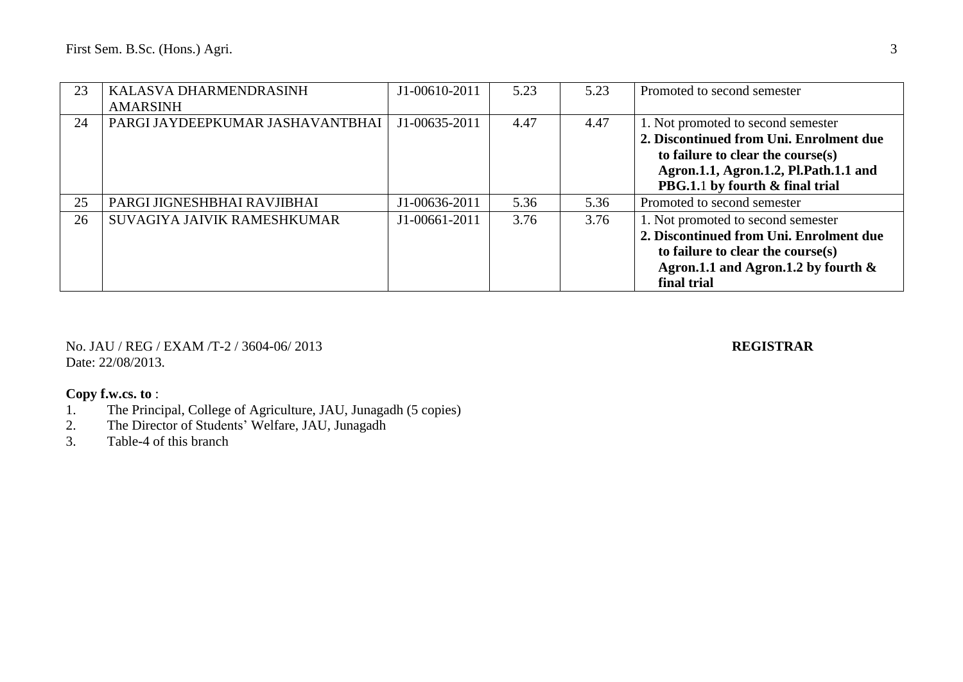| 23 | KALASVA DHARMENDRASINH<br><b>AMARSINH</b> | J1-00610-2011 | 5.23 | 5.23 | Promoted to second semester                                                                                                                                                                    |
|----|-------------------------------------------|---------------|------|------|------------------------------------------------------------------------------------------------------------------------------------------------------------------------------------------------|
| 24 | PARGI JAYDEEPKUMAR JASHAVANTBHAI          | J1-00635-2011 | 4.47 | 4.47 | 1. Not promoted to second semester<br>2. Discontinued from Uni. Enrolment due<br>to failure to clear the course(s)<br>Agron.1.1, Agron.1.2, Pl.Path.1.1 and<br>PBG.1.1 by fourth & final trial |
| 25 | PARGI JIGNESHBHAI RAVJIBHAI               | J1-00636-2011 | 5.36 | 5.36 | Promoted to second semester                                                                                                                                                                    |
| 26 | SUVAGIYA JAIVIK RAMESHKUMAR               | J1-00661-2011 | 3.76 | 3.76 | 1. Not promoted to second semester<br>2. Discontinued from Uni. Enrolment due<br>to failure to clear the course $(s)$<br>Agron.1.1 and Agron.1.2 by fourth $\&$<br>final trial                 |

No. JAU / REG / EXAM /T-2 / 3604-06/ 2013 **REGISTRAR** Date: 22/08/2013.

- 1. The Principal, College of Agriculture, JAU, Junagadh (5 copies)
- 2. The Director of Students' Welfare, JAU, Junagadh
- 3. Table-4 of this branch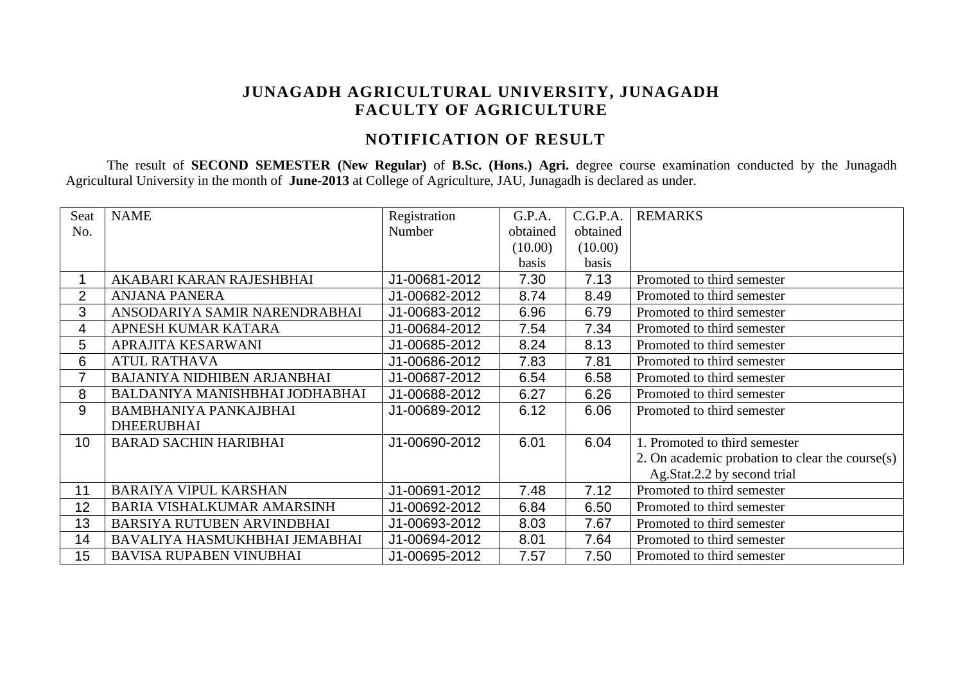# **JUNAGADH AGRICULTURAL UNIVERSITY, JUNAGADH FACULTY OF AGRICULTURE**

# **NOTIFICATION OF RESULT**

The result of **SECOND SEMESTER (New Regular)** of **B.Sc. (Hons.) Agri.** degree course examination conducted by the Junagadh Agricultural University in the month of **June-2013** at College of Agriculture, JAU, Junagadh is declared as under.

| Seat           | <b>NAME</b>                        | Registration  | G.P.A.   | C.G.P.A. | <b>REMARKS</b>                                  |
|----------------|------------------------------------|---------------|----------|----------|-------------------------------------------------|
| No.            |                                    | Number        | obtained | obtained |                                                 |
|                |                                    |               | (10.00)  | (10.00)  |                                                 |
|                |                                    |               | basis    | basis    |                                                 |
|                | AKABARI KARAN RAJESHBHAI           | J1-00681-2012 | 7.30     | 7.13     | Promoted to third semester                      |
| $\overline{2}$ | <b>ANJANA PANERA</b>               | J1-00682-2012 | 8.74     | 8.49     | Promoted to third semester                      |
| 3              | ANSODARIYA SAMIR NARENDRABHAI      | J1-00683-2012 | 6.96     | 6.79     | Promoted to third semester                      |
| 4              | APNESH KUMAR KATARA                | J1-00684-2012 | 7.54     | 7.34     | Promoted to third semester                      |
| 5              | APRAJITA KESARWANI                 | J1-00685-2012 | 8.24     | 8.13     | Promoted to third semester                      |
| 6              | <b>ATUL RATHAVA</b>                | J1-00686-2012 | 7.83     | 7.81     | Promoted to third semester                      |
| $\overline{7}$ | <b>BAJANIYA NIDHIBEN ARJANBHAI</b> | J1-00687-2012 | 6.54     | 6.58     | Promoted to third semester                      |
| 8              | BALDANIYA MANISHBHAI JODHABHAI     | J1-00688-2012 | 6.27     | 6.26     | Promoted to third semester                      |
| 9              | <b>BAMBHANIYA PANKAJBHAI</b>       | J1-00689-2012 | 6.12     | 6.06     | Promoted to third semester                      |
|                | <b>DHEERUBHAI</b>                  |               |          |          |                                                 |
| 10             | <b>BARAD SACHIN HARIBHAI</b>       | J1-00690-2012 | 6.01     | 6.04     | 1. Promoted to third semester                   |
|                |                                    |               |          |          | 2. On academic probation to clear the course(s) |
|                |                                    |               |          |          | Ag.Stat.2.2 by second trial                     |
| 11             | <b>BARAIYA VIPUL KARSHAN</b>       | J1-00691-2012 | 7.48     | 7.12     | Promoted to third semester                      |
| 12             | <b>BARIA VISHALKUMAR AMARSINH</b>  | J1-00692-2012 | 6.84     | 6.50     | Promoted to third semester                      |
| 13             | <b>BARSIYA RUTUBEN ARVINDBHAI</b>  | J1-00693-2012 | 8.03     | 7.67     | Promoted to third semester                      |
| 14             | BAVALIYA HASMUKHBHAI JEMABHAI      | J1-00694-2012 | 8.01     | 7.64     | Promoted to third semester                      |
| 15             | <b>BAVISA RUPABEN VINUBHAI</b>     | J1-00695-2012 | 7.57     | 7.50     | Promoted to third semester                      |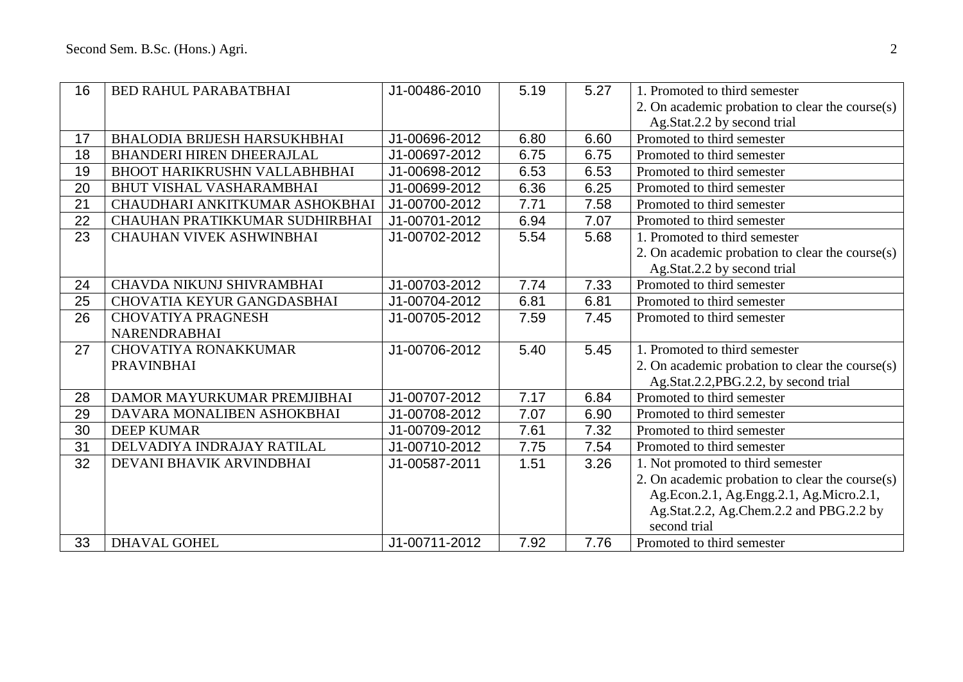| 16 | <b>BED RAHUL PARABATBHAI</b>        | J1-00486-2010 | 5.19 | 5.27 | 1. Promoted to third semester                   |
|----|-------------------------------------|---------------|------|------|-------------------------------------------------|
|    |                                     |               |      |      | 2. On academic probation to clear the course(s) |
|    |                                     |               |      |      | Ag.Stat.2.2 by second trial                     |
| 17 | <b>BHALODIA BRIJESH HARSUKHBHAI</b> | J1-00696-2012 | 6.80 | 6.60 | Promoted to third semester                      |
| 18 | <b>BHANDERI HIREN DHEERAJLAL</b>    | J1-00697-2012 | 6.75 | 6.75 | Promoted to third semester                      |
| 19 | <b>BHOOT HARIKRUSHN VALLABHBHAI</b> | J1-00698-2012 | 6.53 | 6.53 | Promoted to third semester                      |
| 20 | <b>BHUT VISHAL VASHARAMBHAI</b>     | J1-00699-2012 | 6.36 | 6.25 | Promoted to third semester                      |
| 21 | CHAUDHARI ANKITKUMAR ASHOKBHAI      | J1-00700-2012 | 7.71 | 7.58 | Promoted to third semester                      |
| 22 | CHAUHAN PRATIKKUMAR SUDHIRBHAI      | J1-00701-2012 | 6.94 | 7.07 | Promoted to third semester                      |
| 23 | <b>CHAUHAN VIVEK ASHWINBHAI</b>     | J1-00702-2012 | 5.54 | 5.68 | 1. Promoted to third semester                   |
|    |                                     |               |      |      | 2. On academic probation to clear the course(s) |
|    |                                     |               |      |      | Ag.Stat.2.2 by second trial                     |
| 24 | CHAVDA NIKUNJ SHIVRAMBHAI           | J1-00703-2012 | 7.74 | 7.33 | Promoted to third semester                      |
| 25 | CHOVATIA KEYUR GANGDASBHAI          | J1-00704-2012 | 6.81 | 6.81 | Promoted to third semester                      |
| 26 | <b>CHOVATIYA PRAGNESH</b>           | J1-00705-2012 | 7.59 | 7.45 | Promoted to third semester                      |
|    | <b>NARENDRABHAI</b>                 |               |      |      |                                                 |
| 27 | <b>CHOVATIYA RONAKKUMAR</b>         | J1-00706-2012 | 5.40 | 5.45 | 1. Promoted to third semester                   |
|    | <b>PRAVINBHAI</b>                   |               |      |      | 2. On academic probation to clear the course(s) |
|    |                                     |               |      |      | Ag.Stat.2.2, PBG.2.2, by second trial           |
| 28 | DAMOR MAYURKUMAR PREMJIBHAI         | J1-00707-2012 | 7.17 | 6.84 | Promoted to third semester                      |
| 29 | DAVARA MONALIBEN ASHOKBHAI          | J1-00708-2012 | 7.07 | 6.90 | Promoted to third semester                      |
| 30 | <b>DEEP KUMAR</b>                   | J1-00709-2012 | 7.61 | 7.32 | Promoted to third semester                      |
| 31 | DELVADIYA INDRAJAY RATILAL          | J1-00710-2012 | 7.75 | 7.54 | Promoted to third semester                      |
| 32 | DEVANI BHAVIK ARVINDBHAI            | J1-00587-2011 | 1.51 | 3.26 | 1. Not promoted to third semester               |
|    |                                     |               |      |      | 2. On academic probation to clear the course(s) |
|    |                                     |               |      |      | Ag.Econ.2.1, Ag.Engg.2.1, Ag.Micro.2.1,         |
|    |                                     |               |      |      | Ag.Stat.2.2, Ag.Chem.2.2 and PBG.2.2 by         |
|    |                                     |               |      |      | second trial                                    |
| 33 | <b>DHAVAL GOHEL</b>                 | J1-00711-2012 | 7.92 | 7.76 | Promoted to third semester                      |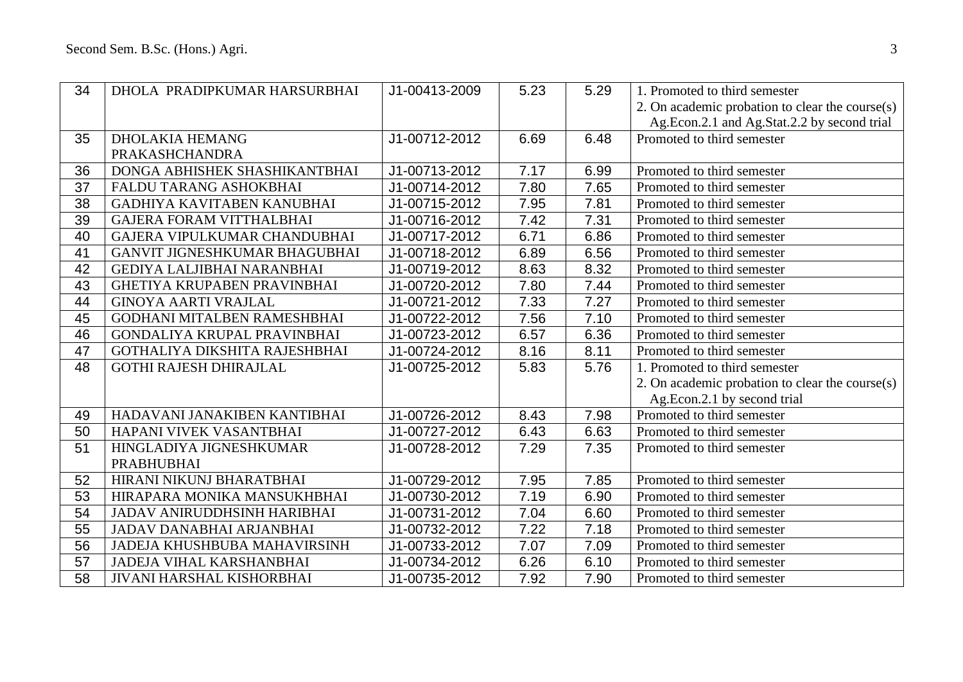| 34 | DHOLA PRADIPKUMAR HARSURBHAI         | J1-00413-2009 | 5.23 | 5.29 | 1. Promoted to third semester                   |
|----|--------------------------------------|---------------|------|------|-------------------------------------------------|
|    |                                      |               |      |      | 2. On academic probation to clear the course(s) |
|    |                                      |               |      |      | Ag.Econ.2.1 and Ag.Stat.2.2 by second trial     |
| 35 | <b>DHOLAKIA HEMANG</b>               | J1-00712-2012 | 6.69 | 6.48 | Promoted to third semester                      |
|    | PRAKASHCHANDRA                       |               |      |      |                                                 |
| 36 | DONGA ABHISHEK SHASHIKANTBHAI        | J1-00713-2012 | 7.17 | 6.99 | Promoted to third semester                      |
| 37 | FALDU TARANG ASHOKBHAI               | J1-00714-2012 | 7.80 | 7.65 | Promoted to third semester                      |
| 38 | GADHIYA KAVITABEN KANUBHAI           | J1-00715-2012 | 7.95 | 7.81 | Promoted to third semester                      |
| 39 | <b>GAJERA FORAM VITTHALBHAI</b>      | J1-00716-2012 | 7.42 | 7.31 | Promoted to third semester                      |
| 40 | GAJERA VIPULKUMAR CHANDUBHAI         | J1-00717-2012 | 6.71 | 6.86 | Promoted to third semester                      |
| 41 | <b>GANVIT JIGNESHKUMAR BHAGUBHAI</b> | J1-00718-2012 | 6.89 | 6.56 | Promoted to third semester                      |
| 42 | <b>GEDIYA LALJIBHAI NARANBHAI</b>    | J1-00719-2012 | 8.63 | 8.32 | Promoted to third semester                      |
| 43 | <b>GHETIYA KRUPABEN PRAVINBHAI</b>   | J1-00720-2012 | 7.80 | 7.44 | Promoted to third semester                      |
| 44 | <b>GINOYA AARTI VRAJLAL</b>          | J1-00721-2012 | 7.33 | 7.27 | Promoted to third semester                      |
| 45 | GODHANI MITALBEN RAMESHBHAI          | J1-00722-2012 | 7.56 | 7.10 | Promoted to third semester                      |
| 46 | GONDALIYA KRUPAL PRAVINBHAI          | J1-00723-2012 | 6.57 | 6.36 | Promoted to third semester                      |
| 47 | GOTHALIYA DIKSHITA RAJESHBHAI        | J1-00724-2012 | 8.16 | 8.11 | Promoted to third semester                      |
| 48 | <b>GOTHI RAJESH DHIRAJLAL</b>        | J1-00725-2012 | 5.83 | 5.76 | 1. Promoted to third semester                   |
|    |                                      |               |      |      | 2. On academic probation to clear the course(s) |
|    |                                      |               |      |      | Ag.Econ.2.1 by second trial                     |
| 49 | HADAVANI JANAKIBEN KANTIBHAI         | J1-00726-2012 | 8.43 | 7.98 | Promoted to third semester                      |
| 50 | HAPANI VIVEK VASANTBHAI              | J1-00727-2012 | 6.43 | 6.63 | Promoted to third semester                      |
| 51 | HINGLADIYA JIGNESHKUMAR              | J1-00728-2012 | 7.29 | 7.35 | Promoted to third semester                      |
|    | <b>PRABHUBHAI</b>                    |               |      |      |                                                 |
| 52 | HIRANI NIKUNJ BHARATBHAI             | J1-00729-2012 | 7.95 | 7.85 | Promoted to third semester                      |
| 53 | HIRAPARA MONIKA MANSUKHBHAI          | J1-00730-2012 | 7.19 | 6.90 | Promoted to third semester                      |
| 54 | <b>JADAV ANIRUDDHSINH HARIBHAI</b>   | J1-00731-2012 | 7.04 | 6.60 | Promoted to third semester                      |
| 55 | JADAV DANABHAI ARJANBHAI             | J1-00732-2012 | 7.22 | 7.18 | Promoted to third semester                      |
| 56 | JADEJA KHUSHBUBA MAHAVIRSINH         | J1-00733-2012 | 7.07 | 7.09 | Promoted to third semester                      |
| 57 | <b>JADEJA VIHAL KARSHANBHAI</b>      | J1-00734-2012 | 6.26 | 6.10 | Promoted to third semester                      |
| 58 | JIVANI HARSHAL KISHORBHAI            | J1-00735-2012 | 7.92 | 7.90 | Promoted to third semester                      |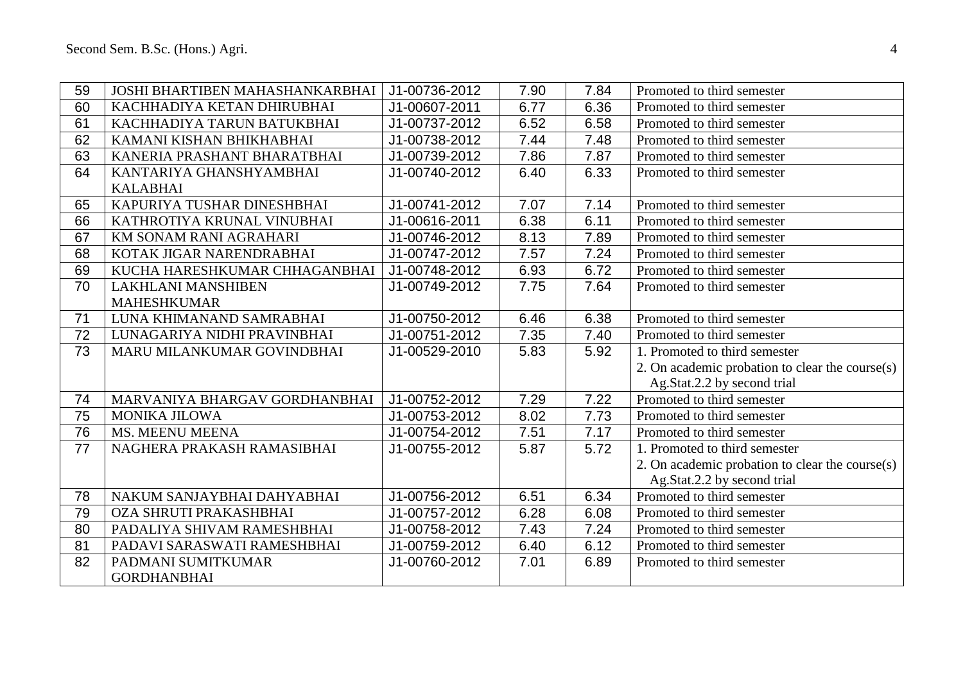| 59 | JOSHI BHARTIBEN MAHASHANKARBHAI | J1-00736-2012 | 7.90 | 7.84 | Promoted to third semester                      |
|----|---------------------------------|---------------|------|------|-------------------------------------------------|
| 60 | KACHHADIYA KETAN DHIRUBHAI      | J1-00607-2011 | 6.77 | 6.36 | Promoted to third semester                      |
| 61 | KACHHADIYA TARUN BATUKBHAI      | J1-00737-2012 | 6.52 | 6.58 | Promoted to third semester                      |
| 62 | KAMANI KISHAN BHIKHABHAI        | J1-00738-2012 | 7.44 | 7.48 | Promoted to third semester                      |
| 63 | KANERIA PRASHANT BHARATBHAI     | J1-00739-2012 | 7.86 | 7.87 | Promoted to third semester                      |
| 64 | KANTARIYA GHANSHYAMBHAI         | J1-00740-2012 | 6.40 | 6.33 | Promoted to third semester                      |
|    | <b>KALABHAI</b>                 |               |      |      |                                                 |
| 65 | KAPURIYA TUSHAR DINESHBHAI      | J1-00741-2012 | 7.07 | 7.14 | Promoted to third semester                      |
| 66 | KATHROTIYA KRUNAL VINUBHAI      | J1-00616-2011 | 6.38 | 6.11 | Promoted to third semester                      |
| 67 | KM SONAM RANI AGRAHARI          | J1-00746-2012 | 8.13 | 7.89 | Promoted to third semester                      |
| 68 | KOTAK JIGAR NARENDRABHAI        | J1-00747-2012 | 7.57 | 7.24 | Promoted to third semester                      |
| 69 | KUCHA HARESHKUMAR CHHAGANBHAI   | J1-00748-2012 | 6.93 | 6.72 | Promoted to third semester                      |
| 70 | <b>LAKHLANI MANSHIBEN</b>       | J1-00749-2012 | 7.75 | 7.64 | Promoted to third semester                      |
|    | <b>MAHESHKUMAR</b>              |               |      |      |                                                 |
| 71 | LUNA KHIMANAND SAMRABHAI        | J1-00750-2012 | 6.46 | 6.38 | Promoted to third semester                      |
| 72 | LUNAGARIYA NIDHI PRAVINBHAI     | J1-00751-2012 | 7.35 | 7.40 | Promoted to third semester                      |
| 73 | MARU MILANKUMAR GOVINDBHAI      | J1-00529-2010 | 5.83 | 5.92 | 1. Promoted to third semester                   |
|    |                                 |               |      |      | 2. On academic probation to clear the course(s) |
|    |                                 |               |      |      | Ag.Stat.2.2 by second trial                     |
| 74 | MARVANIYA BHARGAV GORDHANBHAI   | J1-00752-2012 | 7.29 | 7.22 | Promoted to third semester                      |
| 75 | MONIKA JILOWA                   | J1-00753-2012 | 8.02 | 7.73 | Promoted to third semester                      |
| 76 | MS. MEENU MEENA                 | J1-00754-2012 | 7.51 | 7.17 | Promoted to third semester                      |
| 77 | NAGHERA PRAKASH RAMASIBHAI      | J1-00755-2012 | 5.87 | 5.72 | 1. Promoted to third semester                   |
|    |                                 |               |      |      | 2. On academic probation to clear the course(s) |
|    |                                 |               |      |      | Ag.Stat.2.2 by second trial                     |
| 78 | NAKUM SANJAYBHAI DAHYABHAI      | J1-00756-2012 | 6.51 | 6.34 | Promoted to third semester                      |
| 79 | OZA SHRUTI PRAKASHBHAI          | J1-00757-2012 | 6.28 | 6.08 | Promoted to third semester                      |
| 80 | PADALIYA SHIVAM RAMESHBHAI      | J1-00758-2012 | 7.43 | 7.24 | Promoted to third semester                      |
| 81 | PADAVI SARASWATI RAMESHBHAI     | J1-00759-2012 | 6.40 | 6.12 | Promoted to third semester                      |
| 82 | PADMANI SUMITKUMAR              | J1-00760-2012 | 7.01 | 6.89 | Promoted to third semester                      |
|    | <b>GORDHANBHAI</b>              |               |      |      |                                                 |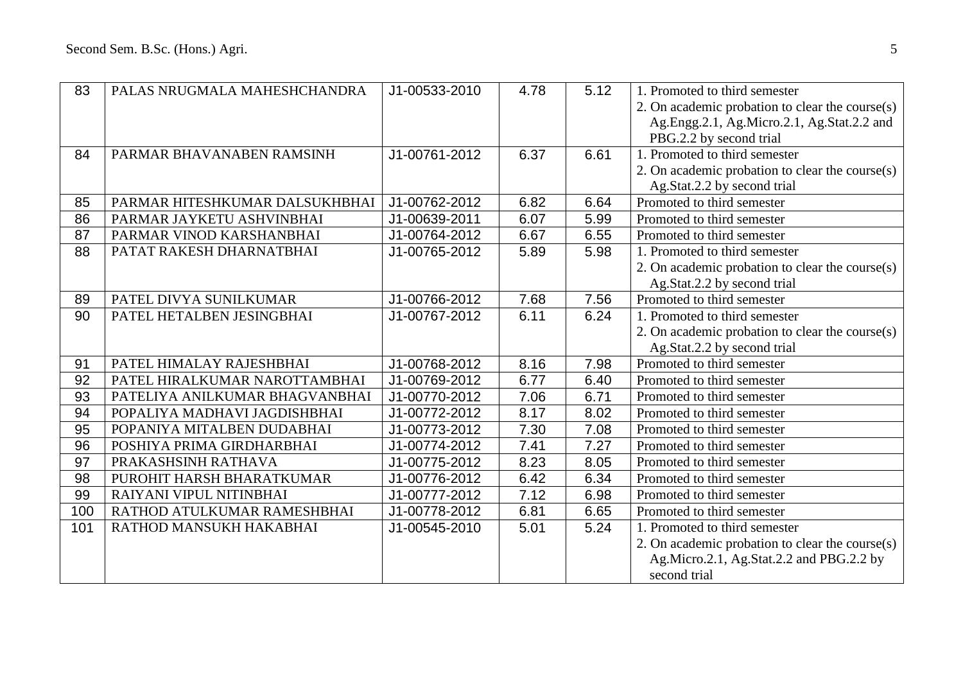| 83  | PALAS NRUGMALA MAHESHCHANDRA   | J1-00533-2010 | 4.78 | 5.12 | 1. Promoted to third semester                   |
|-----|--------------------------------|---------------|------|------|-------------------------------------------------|
|     |                                |               |      |      | 2. On academic probation to clear the course(s) |
|     |                                |               |      |      | Ag.Engg.2.1, Ag.Micro.2.1, Ag.Stat.2.2 and      |
|     |                                |               |      |      | PBG.2.2 by second trial                         |
| 84  | PARMAR BHAVANABEN RAMSINH      | J1-00761-2012 | 6.37 | 6.61 | 1. Promoted to third semester                   |
|     |                                |               |      |      | 2. On academic probation to clear the course(s) |
|     |                                |               |      |      | Ag.Stat.2.2 by second trial                     |
| 85  | PARMAR HITESHKUMAR DALSUKHBHAI | J1-00762-2012 | 6.82 | 6.64 | Promoted to third semester                      |
| 86  | PARMAR JAYKETU ASHVINBHAI      | J1-00639-2011 | 6.07 | 5.99 | Promoted to third semester                      |
| 87  | PARMAR VINOD KARSHANBHAI       | J1-00764-2012 | 6.67 | 6.55 | Promoted to third semester                      |
| 88  | PATAT RAKESH DHARNATBHAI       | J1-00765-2012 | 5.89 | 5.98 | 1. Promoted to third semester                   |
|     |                                |               |      |      | 2. On academic probation to clear the course(s) |
|     |                                |               |      |      | Ag.Stat.2.2 by second trial                     |
| 89  | PATEL DIVYA SUNILKUMAR         | J1-00766-2012 | 7.68 | 7.56 | Promoted to third semester                      |
| 90  | PATEL HETALBEN JESINGBHAI      | J1-00767-2012 | 6.11 | 6.24 | 1. Promoted to third semester                   |
|     |                                |               |      |      | 2. On academic probation to clear the course(s) |
|     |                                |               |      |      | Ag.Stat.2.2 by second trial                     |
| 91  | PATEL HIMALAY RAJESHBHAI       | J1-00768-2012 | 8.16 | 7.98 | Promoted to third semester                      |
| 92  | PATEL HIRALKUMAR NAROTTAMBHAI  | J1-00769-2012 | 6.77 | 6.40 | Promoted to third semester                      |
| 93  | PATELIYA ANILKUMAR BHAGVANBHAI | J1-00770-2012 | 7.06 | 6.71 | Promoted to third semester                      |
| 94  | POPALIYA MADHAVI JAGDISHBHAI   | J1-00772-2012 | 8.17 | 8.02 | Promoted to third semester                      |
| 95  | POPANIYA MITALBEN DUDABHAI     | J1-00773-2012 | 7.30 | 7.08 | Promoted to third semester                      |
| 96  | POSHIYA PRIMA GIRDHARBHAI      | J1-00774-2012 | 7.41 | 7.27 | Promoted to third semester                      |
| 97  | PRAKASHSINH RATHAVA            | J1-00775-2012 | 8.23 | 8.05 | Promoted to third semester                      |
| 98  | PUROHIT HARSH BHARATKUMAR      | J1-00776-2012 | 6.42 | 6.34 | Promoted to third semester                      |
| 99  | RAIYANI VIPUL NITINBHAI        | J1-00777-2012 | 7.12 | 6.98 | Promoted to third semester                      |
| 100 | RATHOD ATULKUMAR RAMESHBHAI    | J1-00778-2012 | 6.81 | 6.65 | Promoted to third semester                      |
| 101 | RATHOD MANSUKH HAKABHAI        | J1-00545-2010 | 5.01 | 5.24 | 1. Promoted to third semester                   |
|     |                                |               |      |      | 2. On academic probation to clear the course(s) |
|     |                                |               |      |      | Ag.Micro.2.1, Ag.Stat.2.2 and PBG.2.2 by        |
|     |                                |               |      |      | second trial                                    |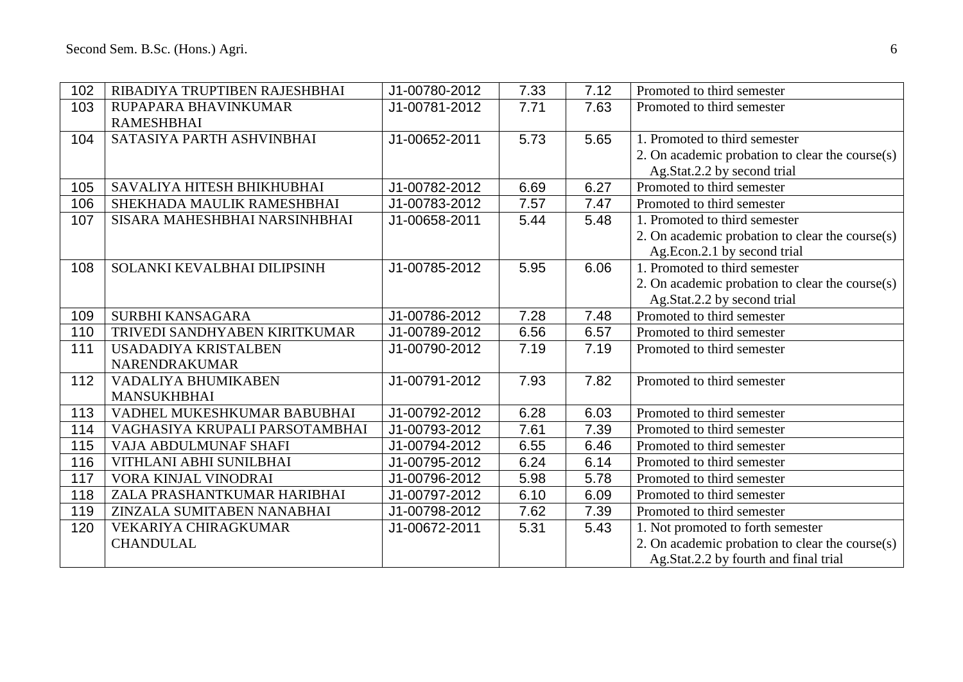| 102 | RIBADIYA TRUPTIBEN RAJESHBHAI  | J1-00780-2012 | 7.33 | 7.12 | Promoted to third semester                      |
|-----|--------------------------------|---------------|------|------|-------------------------------------------------|
| 103 | RUPAPARA BHAVINKUMAR           | J1-00781-2012 | 7.71 | 7.63 | Promoted to third semester                      |
|     | <b>RAMESHBHAI</b>              |               |      |      |                                                 |
| 104 | SATASIYA PARTH ASHVINBHAI      | J1-00652-2011 | 5.73 | 5.65 | 1. Promoted to third semester                   |
|     |                                |               |      |      | 2. On academic probation to clear the course(s) |
|     |                                |               |      |      | Ag.Stat.2.2 by second trial                     |
| 105 | SAVALIYA HITESH BHIKHUBHAI     | J1-00782-2012 | 6.69 | 6.27 | Promoted to third semester                      |
| 106 | SHEKHADA MAULIK RAMESHBHAI     | J1-00783-2012 | 7.57 | 7.47 | Promoted to third semester                      |
| 107 | SISARA MAHESHBHAI NARSINHBHAI  | J1-00658-2011 | 5.44 | 5.48 | 1. Promoted to third semester                   |
|     |                                |               |      |      | 2. On academic probation to clear the course(s) |
|     |                                |               |      |      | Ag.Econ.2.1 by second trial                     |
| 108 | SOLANKI KEVALBHAI DILIPSINH    | J1-00785-2012 | 5.95 | 6.06 | 1. Promoted to third semester                   |
|     |                                |               |      |      | 2. On academic probation to clear the course(s) |
|     |                                |               |      |      | Ag.Stat.2.2 by second trial                     |
| 109 | SURBHI KANSAGARA               | J1-00786-2012 | 7.28 | 7.48 | Promoted to third semester                      |
| 110 | TRIVEDI SANDHYABEN KIRITKUMAR  | J1-00789-2012 | 6.56 | 6.57 | Promoted to third semester                      |
| 111 | <b>USADADIYA KRISTALBEN</b>    | J1-00790-2012 | 7.19 | 7.19 | Promoted to third semester                      |
|     | NARENDRAKUMAR                  |               |      |      |                                                 |
| 112 | VADALIYA BHUMIKABEN            | J1-00791-2012 | 7.93 | 7.82 | Promoted to third semester                      |
|     | <b>MANSUKHBHAI</b>             |               |      |      |                                                 |
| 113 | VADHEL MUKESHKUMAR BABUBHAI    | J1-00792-2012 | 6.28 | 6.03 | Promoted to third semester                      |
| 114 | VAGHASIYA KRUPALI PARSOTAMBHAI | J1-00793-2012 | 7.61 | 7.39 | Promoted to third semester                      |
| 115 | VAJA ABDULMUNAF SHAFI          | J1-00794-2012 | 6.55 | 6.46 | Promoted to third semester                      |
| 116 | VITHLANI ABHI SUNILBHAI        | J1-00795-2012 | 6.24 | 6.14 | Promoted to third semester                      |
| 117 | VORA KINJAL VINODRAI           | J1-00796-2012 | 5.98 | 5.78 | Promoted to third semester                      |
| 118 | ZALA PRASHANTKUMAR HARIBHAI    | J1-00797-2012 | 6.10 | 6.09 | Promoted to third semester                      |
| 119 | ZINZALA SUMITABEN NANABHAI     | J1-00798-2012 | 7.62 | 7.39 | Promoted to third semester                      |
| 120 | VEKARIYA CHIRAGKUMAR           | J1-00672-2011 | 5.31 | 5.43 | 1. Not promoted to forth semester               |
|     | <b>CHANDULAL</b>               |               |      |      | 2. On academic probation to clear the course(s) |
|     |                                |               |      |      | Ag.Stat.2.2 by fourth and final trial           |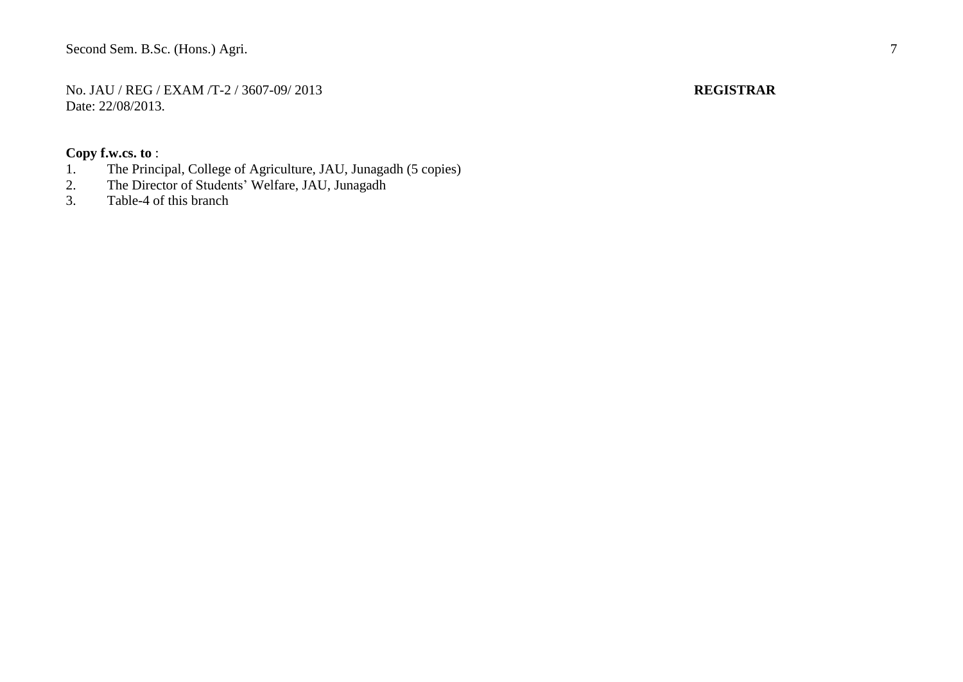No. JAU / REG / EXAM /T-2 / 3607-09/ 2013 **REGISTRAR** Date: 22/08/2013.

- 1. The Principal, College of Agriculture, JAU, Junagadh (5 copies)<br>2. The Director of Students' Welfare, JAU, Junagadh
- 2. The Director of Students' Welfare, JAU, Junagadh<br>3. Table-4 of this branch
- Table-4 of this branch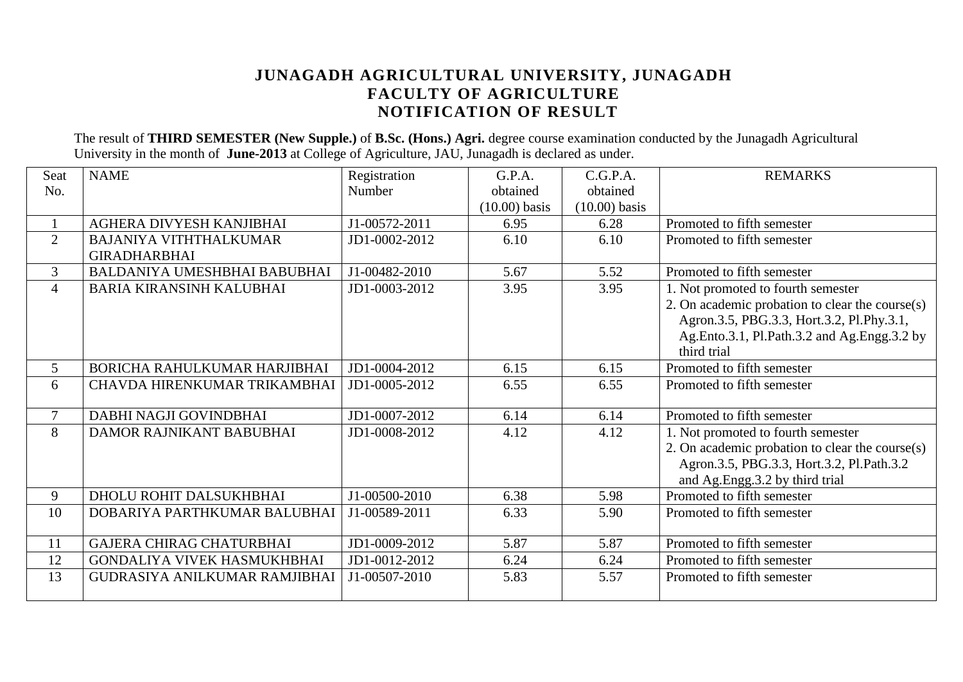### **JUNAGADH AGRICULTURAL UNIVERSITY, JUNAGADH FACULTY OF AGRICULTURE NOTIFICATION OF RESULT**

The result of **THIRD SEMESTER (New Supple.)** of **B.Sc. (Hons.) Agri.** degree course examination conducted by the Junagadh Agricultural University in the month of **June-2013** at College of Agriculture, JAU, Junagadh is declared as under.

| Seat           | <b>NAME</b>                          | Registration  | G.P.A.          | C.G.P.A.        | <b>REMARKS</b>                                  |
|----------------|--------------------------------------|---------------|-----------------|-----------------|-------------------------------------------------|
| No.            |                                      | Number        | obtained        | obtained        |                                                 |
|                |                                      |               | $(10.00)$ basis | $(10.00)$ basis |                                                 |
|                | AGHERA DIVYESH KANJIBHAI             | J1-00572-2011 | 6.95            | 6.28            | Promoted to fifth semester                      |
| $\overline{2}$ | <b>BAJANIYA VITHTHALKUMAR</b>        | JD1-0002-2012 | 6.10            | 6.10            | Promoted to fifth semester                      |
|                | <b>GIRADHARBHAI</b>                  |               |                 |                 |                                                 |
| $\overline{3}$ | BALDANIYA UMESHBHAI BABUBHAI         | J1-00482-2010 | 5.67            | 5.52            | Promoted to fifth semester                      |
| $\overline{4}$ | <b>BARIA KIRANSINH KALUBHAI</b>      | JD1-0003-2012 | 3.95            | 3.95            | 1. Not promoted to fourth semester              |
|                |                                      |               |                 |                 | 2. On academic probation to clear the course(s) |
|                |                                      |               |                 |                 | Agron.3.5, PBG.3.3, Hort.3.2, Pl.Phy.3.1,       |
|                |                                      |               |                 |                 | Ag.Ento.3.1, Pl.Path.3.2 and Ag.Engg.3.2 by     |
|                |                                      |               |                 |                 | third trial                                     |
| 5              | BORICHA RAHULKUMAR HARJIBHAI         | JD1-0004-2012 | 6.15            | 6.15            | Promoted to fifth semester                      |
| 6              | CHAVDA HIRENKUMAR TRIKAMBHAI         | JD1-0005-2012 | 6.55            | 6.55            | Promoted to fifth semester                      |
|                |                                      |               |                 |                 |                                                 |
| $\overline{7}$ | DABHI NAGJI GOVINDBHAI               | JD1-0007-2012 | 6.14            | 6.14            | Promoted to fifth semester                      |
| 8              | DAMOR RAJNIKANT BABUBHAI             | JD1-0008-2012 | 4.12            | 4.12            | 1. Not promoted to fourth semester              |
|                |                                      |               |                 |                 | 2. On academic probation to clear the course(s) |
|                |                                      |               |                 |                 | Agron.3.5, PBG.3.3, Hort.3.2, Pl.Path.3.2       |
|                |                                      |               |                 |                 | and Ag.Engg.3.2 by third trial                  |
| 9              | DHOLU ROHIT DALSUKHBHAI              | J1-00500-2010 | 6.38            | 5.98            | Promoted to fifth semester                      |
| 10             | DOBARIYA PARTHKUMAR BALUBHAI         | J1-00589-2011 | 6.33            | 5.90            | Promoted to fifth semester                      |
|                |                                      |               |                 |                 |                                                 |
| 11             | <b>GAJERA CHIRAG CHATURBHAI</b>      | JD1-0009-2012 | 5.87            | 5.87            | Promoted to fifth semester                      |
| 12             | GONDALIYA VIVEK HASMUKHBHAI          | JD1-0012-2012 | 6.24            | 6.24            | Promoted to fifth semester                      |
| 13             | <b>GUDRASIYA ANILKUMAR RAMJIBHAI</b> | J1-00507-2010 | 5.83            | 5.57            | Promoted to fifth semester                      |
|                |                                      |               |                 |                 |                                                 |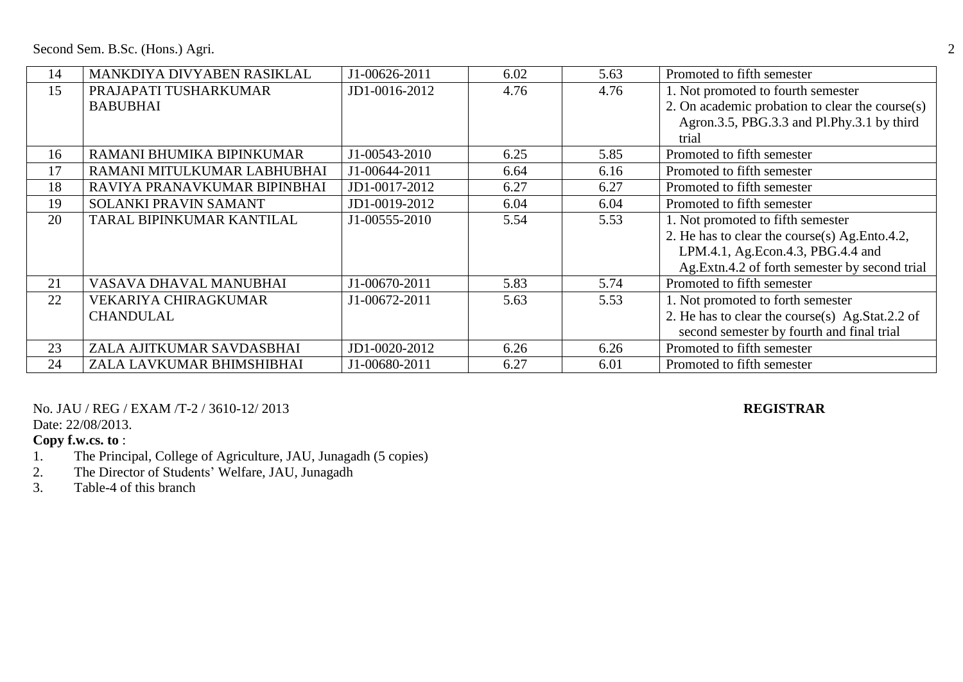Second Sem. B.Sc. (Hons.) Agri. 2

| 14 | MANKDIYA DIVYABEN RASIKLAL   | J1-00626-2011 | 6.02 | 5.63 | Promoted to fifth semester                      |
|----|------------------------------|---------------|------|------|-------------------------------------------------|
| 15 | PRAJAPATI TUSHARKUMAR        | JD1-0016-2012 | 4.76 | 4.76 | 1. Not promoted to fourth semester              |
|    | <b>BABUBHAI</b>              |               |      |      | 2. On academic probation to clear the course(s) |
|    |                              |               |      |      | Agron.3.5, PBG.3.3 and Pl.Phy.3.1 by third      |
|    |                              |               |      |      | trial                                           |
| 16 | RAMANI BHUMIKA BIPINKUMAR    | J1-00543-2010 | 6.25 | 5.85 | Promoted to fifth semester                      |
| 17 | RAMANI MITULKUMAR LABHUBHAI  | J1-00644-2011 | 6.64 | 6.16 | Promoted to fifth semester                      |
| 18 | RAVIYA PRANAVKUMAR BIPINBHAI | JD1-0017-2012 | 6.27 | 6.27 | Promoted to fifth semester                      |
| 19 | <b>SOLANKI PRAVIN SAMANT</b> | JD1-0019-2012 | 6.04 | 6.04 | Promoted to fifth semester                      |
| 20 | TARAL BIPINKUMAR KANTILAL    | J1-00555-2010 | 5.54 | 5.53 | 1. Not promoted to fifth semester               |
|    |                              |               |      |      | 2. He has to clear the course(s) Ag. Ento.4.2,  |
|    |                              |               |      |      | LPM.4.1, Ag.Econ.4.3, PBG.4.4 and               |
|    |                              |               |      |      | Ag.Extn.4.2 of forth semester by second trial   |
| 21 | VASAVA DHAVAL MANUBHAI       | J1-00670-2011 | 5.83 | 5.74 | Promoted to fifth semester                      |
| 22 | <b>VEKARIYA CHIRAGKUMAR</b>  | J1-00672-2011 | 5.63 | 5.53 | 1. Not promoted to forth semester               |
|    | <b>CHANDULAL</b>             |               |      |      | 2. He has to clear the course(s) Ag.Stat.2.2 of |
|    |                              |               |      |      | second semester by fourth and final trial       |
| 23 | ZALA AJITKUMAR SAVDASBHAI    | JD1-0020-2012 | 6.26 | 6.26 | Promoted to fifth semester                      |
| 24 | ZALA LAVKUMAR BHIMSHIBHAI    | J1-00680-2011 | 6.27 | 6.01 | Promoted to fifth semester                      |

No. JAU / REG / EXAM /T-2 / 3610-12/ 2013 **REGISTRAR**

Date: 22/08/2013.

- 1. The Principal, College of Agriculture, JAU, Junagadh (5 copies)
- 2. The Director of Students' Welfare, JAU, Junagadh
- 3. Table-4 of this branch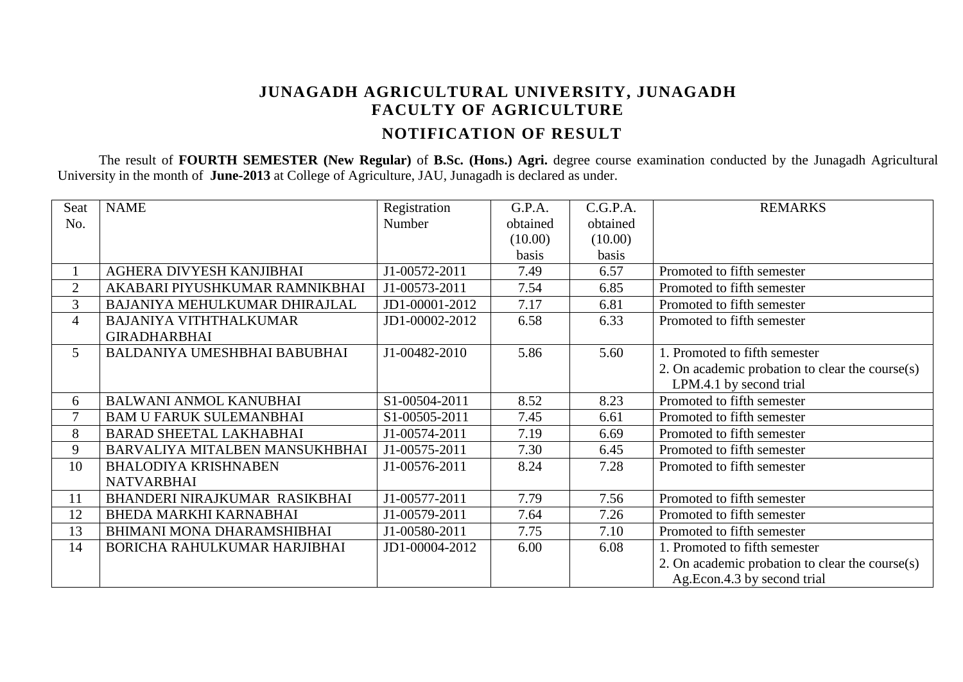# **JUNAGADH AGRICULTURAL UNIVERSITY, JUNAGADH FACULTY OF AGRICULTURE NOTIFICATION OF RESULT**

The result of **FOURTH SEMESTER (New Regular)** of **B.Sc. (Hons.) Agri.** degree course examination conducted by the Junagadh Agricultural University in the month of **June-2013** at College of Agriculture, JAU, Junagadh is declared as under.

| Seat           | <b>NAME</b>                    | Registration   | G.P.A.   | C.G.P.A. | <b>REMARKS</b>                                  |
|----------------|--------------------------------|----------------|----------|----------|-------------------------------------------------|
| No.            |                                | Number         | obtained | obtained |                                                 |
|                |                                |                | (10.00)  | (10.00)  |                                                 |
|                |                                |                | basis    | basis    |                                                 |
|                | AGHERA DIVYESH KANJIBHAI       | J1-00572-2011  | 7.49     | 6.57     | Promoted to fifth semester                      |
| $\overline{2}$ | AKABARI PIYUSHKUMAR RAMNIKBHAI | J1-00573-2011  | 7.54     | 6.85     | Promoted to fifth semester                      |
| $\overline{3}$ | BAJANIYA MEHULKUMAR DHIRAJLAL  | JD1-00001-2012 | 7.17     | 6.81     | Promoted to fifth semester                      |
| $\overline{4}$ | <b>BAJANIYA VITHTHALKUMAR</b>  | JD1-00002-2012 | 6.58     | 6.33     | Promoted to fifth semester                      |
|                | <b>GIRADHARBHAI</b>            |                |          |          |                                                 |
| 5              | BALDANIYA UMESHBHAI BABUBHAI   | J1-00482-2010  | 5.86     | 5.60     | 1. Promoted to fifth semester                   |
|                |                                |                |          |          | 2. On academic probation to clear the course(s) |
|                |                                |                |          |          | LPM.4.1 by second trial                         |
| 6              | BALWANI ANMOL KANUBHAI         | S1-00504-2011  | 8.52     | 8.23     | Promoted to fifth semester                      |
| 7              | <b>BAM U FARUK SULEMANBHAI</b> | S1-00505-2011  | 7.45     | 6.61     | Promoted to fifth semester                      |
| 8              | <b>BARAD SHEETAL LAKHABHAI</b> | J1-00574-2011  | 7.19     | 6.69     | Promoted to fifth semester                      |
| 9              | BARVALIYA MITALBEN MANSUKHBHAI | J1-00575-2011  | 7.30     | 6.45     | Promoted to fifth semester                      |
| 10             | <b>BHALODIYA KRISHNABEN</b>    | J1-00576-2011  | 8.24     | 7.28     | Promoted to fifth semester                      |
|                | <b>NATVARBHAI</b>              |                |          |          |                                                 |
| 11             | BHANDERI NIRAJKUMAR RASIKBHAI  | J1-00577-2011  | 7.79     | 7.56     | Promoted to fifth semester                      |
| 12             | BHEDA MARKHI KARNABHAI         | J1-00579-2011  | 7.64     | 7.26     | Promoted to fifth semester                      |
| 13             | BHIMANI MONA DHARAMSHIBHAI     | J1-00580-2011  | 7.75     | 7.10     | Promoted to fifth semester                      |
| 14             | BORICHA RAHULKUMAR HARJIBHAI   | JD1-00004-2012 | 6.00     | 6.08     | 1. Promoted to fifth semester                   |
|                |                                |                |          |          | 2. On academic probation to clear the course(s) |
|                |                                |                |          |          | Ag.Econ.4.3 by second trial                     |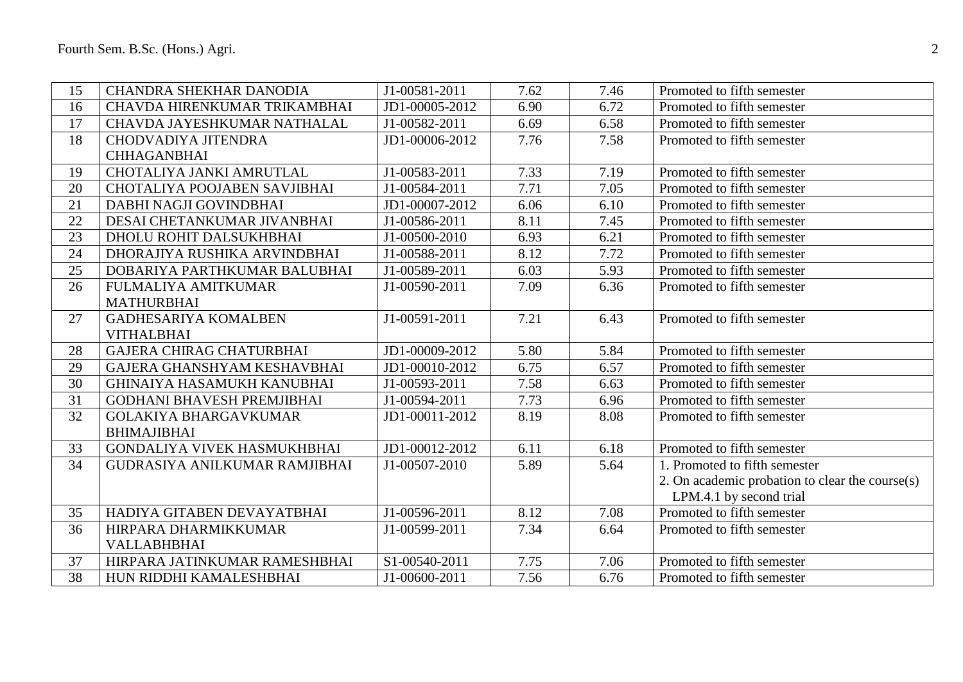| 15 | CHANDRA SHEKHAR DANODIA           | J1-00581-2011  | 7.62 | 7.46 | Promoted to fifth semester                      |
|----|-----------------------------------|----------------|------|------|-------------------------------------------------|
| 16 | CHAVDA HIRENKUMAR TRIKAMBHAI      | JD1-00005-2012 | 6.90 | 6.72 | Promoted to fifth semester                      |
| 17 | CHAVDA JAYESHKUMAR NATHALAL       | J1-00582-2011  | 6.69 | 6.58 | Promoted to fifth semester                      |
| 18 | CHODVADIYA JITENDRA               | JD1-00006-2012 | 7.76 | 7.58 | Promoted to fifth semester                      |
|    | <b>CHHAGANBHAI</b>                |                |      |      |                                                 |
| 19 | CHOTALIYA JANKI AMRUTLAL          | J1-00583-2011  | 7.33 | 7.19 | Promoted to fifth semester                      |
| 20 | CHOTALIYA POOJABEN SAVJIBHAI      | J1-00584-2011  | 7.71 | 7.05 | Promoted to fifth semester                      |
| 21 | DABHI NAGJI GOVINDBHAI            | JD1-00007-2012 | 6.06 | 6.10 | Promoted to fifth semester                      |
| 22 | DESAI CHETANKUMAR JIVANBHAI       | J1-00586-2011  | 8.11 | 7.45 | Promoted to fifth semester                      |
| 23 | DHOLU ROHIT DALSUKHBHAI           | J1-00500-2010  | 6.93 | 6.21 | Promoted to fifth semester                      |
| 24 | DHORAJIYA RUSHIKA ARVINDBHAI      | J1-00588-2011  | 8.12 | 7.72 | Promoted to fifth semester                      |
| 25 | DOBARIYA PARTHKUMAR BALUBHAI      | J1-00589-2011  | 6.03 | 5.93 | Promoted to fifth semester                      |
| 26 | <b>FULMALIYA AMITKUMAR</b>        | J1-00590-2011  | 7.09 | 6.36 | Promoted to fifth semester                      |
|    | <b>MATHURBHAI</b>                 |                |      |      |                                                 |
| 27 | <b>GADHESARIYA KOMALBEN</b>       | J1-00591-2011  | 7.21 | 6.43 | Promoted to fifth semester                      |
|    | <b>VITHALBHAI</b>                 |                |      |      |                                                 |
| 28 | <b>GAJERA CHIRAG CHATURBHAI</b>   | JD1-00009-2012 | 5.80 | 5.84 | Promoted to fifth semester                      |
| 29 | GAJERA GHANSHYAM KESHAVBHAI       | JD1-00010-2012 | 6.75 | 6.57 | Promoted to fifth semester                      |
| 30 | <b>GHINAIYA HASAMUKH KANUBHAI</b> | J1-00593-2011  | 7.58 | 6.63 | Promoted to fifth semester                      |
| 31 | <b>GODHANI BHAVESH PREMJIBHAI</b> | J1-00594-2011  | 7.73 | 6.96 | Promoted to fifth semester                      |
| 32 | <b>GOLAKIYA BHARGAVKUMAR</b>      | JD1-00011-2012 | 8.19 | 8.08 | Promoted to fifth semester                      |
|    | <b>BHIMAJIBHAI</b>                |                |      |      |                                                 |
| 33 | GONDALIYA VIVEK HASMUKHBHAI       | JD1-00012-2012 | 6.11 | 6.18 | Promoted to fifth semester                      |
| 34 | GUDRASIYA ANILKUMAR RAMJIBHAI     | J1-00507-2010  | 5.89 | 5.64 | 1. Promoted to fifth semester                   |
|    |                                   |                |      |      | 2. On academic probation to clear the course(s) |
|    |                                   |                |      |      | LPM.4.1 by second trial                         |
| 35 | HADIYA GITABEN DEVAYATBHAI        | J1-00596-2011  | 8.12 | 7.08 | Promoted to fifth semester                      |
| 36 | HIRPARA DHARMIKKUMAR              | J1-00599-2011  | 7.34 | 6.64 | Promoted to fifth semester                      |
|    | <b>VALLABHBHAI</b>                |                |      |      |                                                 |
| 37 | HIRPARA JATINKUMAR RAMESHBHAI     | S1-00540-2011  | 7.75 | 7.06 | Promoted to fifth semester                      |
| 38 | HUN RIDDHI KAMALESHBHAI           | J1-00600-2011  | 7.56 | 6.76 | Promoted to fifth semester                      |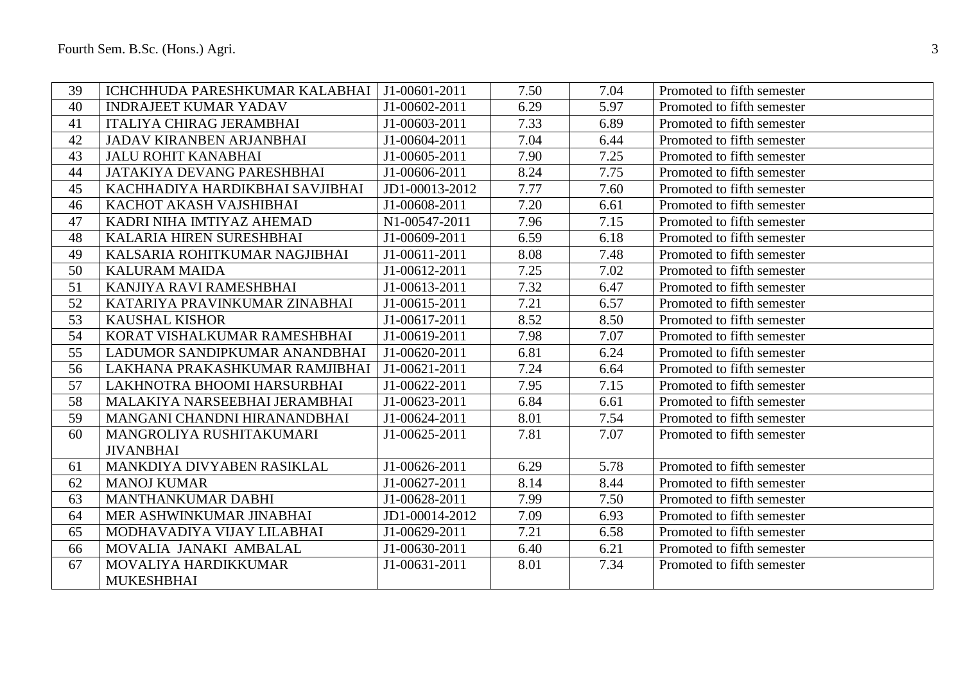| 39 | ICHCHHUDA PARESHKUMAR KALABHAI   J1-00601-2011 |                | 7.50 | 7.04 | Promoted to fifth semester |
|----|------------------------------------------------|----------------|------|------|----------------------------|
| 40 | <b>INDRAJEET KUMAR YADAV</b>                   | J1-00602-2011  | 6.29 | 5.97 | Promoted to fifth semester |
| 41 | <b>ITALIYA CHIRAG JERAMBHAI</b>                | J1-00603-2011  | 7.33 | 6.89 | Promoted to fifth semester |
| 42 | <b>JADAV KIRANBEN ARJANBHAI</b>                | J1-00604-2011  | 7.04 | 6.44 | Promoted to fifth semester |
| 43 | <b>JALU ROHIT KANABHAI</b>                     | J1-00605-2011  | 7.90 | 7.25 | Promoted to fifth semester |
| 44 | <b>JATAKIYA DEVANG PARESHBHAI</b>              | J1-00606-2011  | 8.24 | 7.75 | Promoted to fifth semester |
| 45 | KACHHADIYA HARDIKBHAI SAVJIBHAI                | JD1-00013-2012 | 7.77 | 7.60 | Promoted to fifth semester |
| 46 | KACHOT AKASH VAJSHIBHAI                        | J1-00608-2011  | 7.20 | 6.61 | Promoted to fifth semester |
| 47 | KADRI NIHA IMTIYAZ AHEMAD                      | N1-00547-2011  | 7.96 | 7.15 | Promoted to fifth semester |
| 48 | KALARIA HIREN SURESHBHAI                       | J1-00609-2011  | 6.59 | 6.18 | Promoted to fifth semester |
| 49 | KALSARIA ROHITKUMAR NAGJIBHAI                  | J1-00611-2011  | 8.08 | 7.48 | Promoted to fifth semester |
| 50 | <b>KALURAM MAIDA</b>                           | J1-00612-2011  | 7.25 | 7.02 | Promoted to fifth semester |
| 51 | KANJIYA RAVI RAMESHBHAI                        | J1-00613-2011  | 7.32 | 6.47 | Promoted to fifth semester |
| 52 | KATARIYA PRAVINKUMAR ZINABHAI                  | J1-00615-2011  | 7.21 | 6.57 | Promoted to fifth semester |
| 53 | <b>KAUSHAL KISHOR</b>                          | J1-00617-2011  | 8.52 | 8.50 | Promoted to fifth semester |
| 54 | KORAT VISHALKUMAR RAMESHBHAI                   | J1-00619-2011  | 7.98 | 7.07 | Promoted to fifth semester |
| 55 | LADUMOR SANDIPKUMAR ANANDBHAI                  | J1-00620-2011  | 6.81 | 6.24 | Promoted to fifth semester |
| 56 | LAKHANA PRAKASHKUMAR RAMJIBHAI                 | J1-00621-2011  | 7.24 | 6.64 | Promoted to fifth semester |
| 57 | LAKHNOTRA BHOOMI HARSURBHAI                    | J1-00622-2011  | 7.95 | 7.15 | Promoted to fifth semester |
| 58 | MALAKIYA NARSEEBHAI JERAMBHAI                  | J1-00623-2011  | 6.84 | 6.61 | Promoted to fifth semester |
| 59 | MANGANI CHANDNI HIRANANDBHAI                   | J1-00624-2011  | 8.01 | 7.54 | Promoted to fifth semester |
| 60 | MANGROLIYA RUSHITAKUMARI                       | J1-00625-2011  | 7.81 | 7.07 | Promoted to fifth semester |
|    | <b>JIVANBHAI</b>                               |                |      |      |                            |
| 61 | MANKDIYA DIVYABEN RASIKLAL                     | J1-00626-2011  | 6.29 | 5.78 | Promoted to fifth semester |
| 62 | <b>MANOJ KUMAR</b>                             | J1-00627-2011  | 8.14 | 8.44 | Promoted to fifth semester |
| 63 | MANTHANKUMAR DABHI                             | J1-00628-2011  | 7.99 | 7.50 | Promoted to fifth semester |
| 64 | MER ASHWINKUMAR JINABHAI                       | JD1-00014-2012 | 7.09 | 6.93 | Promoted to fifth semester |
| 65 | MODHAVADIYA VIJAY LILABHAI                     | J1-00629-2011  | 7.21 | 6.58 | Promoted to fifth semester |
| 66 | MOVALIA JANAKI AMBALAL                         | J1-00630-2011  | 6.40 | 6.21 | Promoted to fifth semester |
| 67 | MOVALIYA HARDIKKUMAR                           | J1-00631-2011  | 8.01 | 7.34 | Promoted to fifth semester |
|    | <b>MUKESHBHAI</b>                              |                |      |      |                            |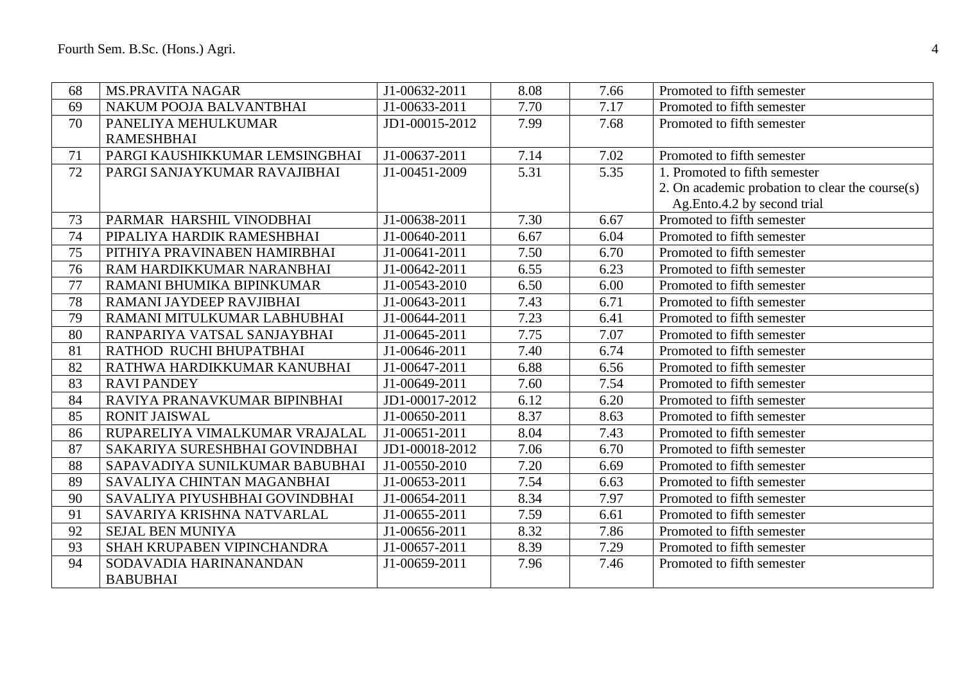| 68 | <b>MS.PRAVITA NAGAR</b>        | J1-00632-2011  | 8.08 | 7.66 | Promoted to fifth semester                      |
|----|--------------------------------|----------------|------|------|-------------------------------------------------|
| 69 | NAKUM POOJA BALVANTBHAI        | J1-00633-2011  | 7.70 | 7.17 | Promoted to fifth semester                      |
| 70 | PANELIYA MEHULKUMAR            | JD1-00015-2012 | 7.99 | 7.68 | Promoted to fifth semester                      |
|    | <b>RAMESHBHAI</b>              |                |      |      |                                                 |
| 71 | PARGI KAUSHIKKUMAR LEMSINGBHAI | J1-00637-2011  | 7.14 | 7.02 | Promoted to fifth semester                      |
| 72 | PARGI SANJAYKUMAR RAVAJIBHAI   | J1-00451-2009  | 5.31 | 5.35 | 1. Promoted to fifth semester                   |
|    |                                |                |      |      | 2. On academic probation to clear the course(s) |
|    |                                |                |      |      | Ag.Ento.4.2 by second trial                     |
| 73 | PARMAR HARSHIL VINODBHAI       | J1-00638-2011  | 7.30 | 6.67 | Promoted to fifth semester                      |
| 74 | PIPALIYA HARDIK RAMESHBHAI     | J1-00640-2011  | 6.67 | 6.04 | Promoted to fifth semester                      |
| 75 | PITHIYA PRAVINABEN HAMIRBHAI   | J1-00641-2011  | 7.50 | 6.70 | Promoted to fifth semester                      |
| 76 | RAM HARDIKKUMAR NARANBHAI      | J1-00642-2011  | 6.55 | 6.23 | Promoted to fifth semester                      |
| 77 | RAMANI BHUMIKA BIPINKUMAR      | J1-00543-2010  | 6.50 | 6.00 | Promoted to fifth semester                      |
| 78 | RAMANI JAYDEEP RAVJIBHAI       | J1-00643-2011  | 7.43 | 6.71 | Promoted to fifth semester                      |
| 79 | RAMANI MITULKUMAR LABHUBHAI    | J1-00644-2011  | 7.23 | 6.41 | Promoted to fifth semester                      |
| 80 | RANPARIYA VATSAL SANJAYBHAI    | J1-00645-2011  | 7.75 | 7.07 | Promoted to fifth semester                      |
| 81 | RATHOD RUCHI BHUPATBHAI        | J1-00646-2011  | 7.40 | 6.74 | Promoted to fifth semester                      |
| 82 | RATHWA HARDIKKUMAR KANUBHAI    | J1-00647-2011  | 6.88 | 6.56 | Promoted to fifth semester                      |
| 83 | <b>RAVI PANDEY</b>             | J1-00649-2011  | 7.60 | 7.54 | Promoted to fifth semester                      |
| 84 | RAVIYA PRANAVKUMAR BIPINBHAI   | JD1-00017-2012 | 6.12 | 6.20 | Promoted to fifth semester                      |
| 85 | <b>RONIT JAISWAL</b>           | J1-00650-2011  | 8.37 | 8.63 | Promoted to fifth semester                      |
| 86 | RUPARELIYA VIMALKUMAR VRAJALAL | J1-00651-2011  | 8.04 | 7.43 | Promoted to fifth semester                      |
| 87 | SAKARIYA SURESHBHAI GOVINDBHAI | JD1-00018-2012 | 7.06 | 6.70 | Promoted to fifth semester                      |
| 88 | SAPAVADIYA SUNILKUMAR BABUBHAI | J1-00550-2010  | 7.20 | 6.69 | Promoted to fifth semester                      |
| 89 | SAVALIYA CHINTAN MAGANBHAI     | J1-00653-2011  | 7.54 | 6.63 | Promoted to fifth semester                      |
| 90 | SAVALIYA PIYUSHBHAI GOVINDBHAI | J1-00654-2011  | 8.34 | 7.97 | Promoted to fifth semester                      |
| 91 | SAVARIYA KRISHNA NATVARLAL     | J1-00655-2011  | 7.59 | 6.61 | Promoted to fifth semester                      |
| 92 | <b>SEJAL BEN MUNIYA</b>        | J1-00656-2011  | 8.32 | 7.86 | Promoted to fifth semester                      |
| 93 | SHAH KRUPABEN VIPINCHANDRA     | J1-00657-2011  | 8.39 | 7.29 | Promoted to fifth semester                      |
| 94 | SODAVADIA HARINANANDAN         | J1-00659-2011  | 7.96 | 7.46 | Promoted to fifth semester                      |
|    | <b>BABUBHAI</b>                |                |      |      |                                                 |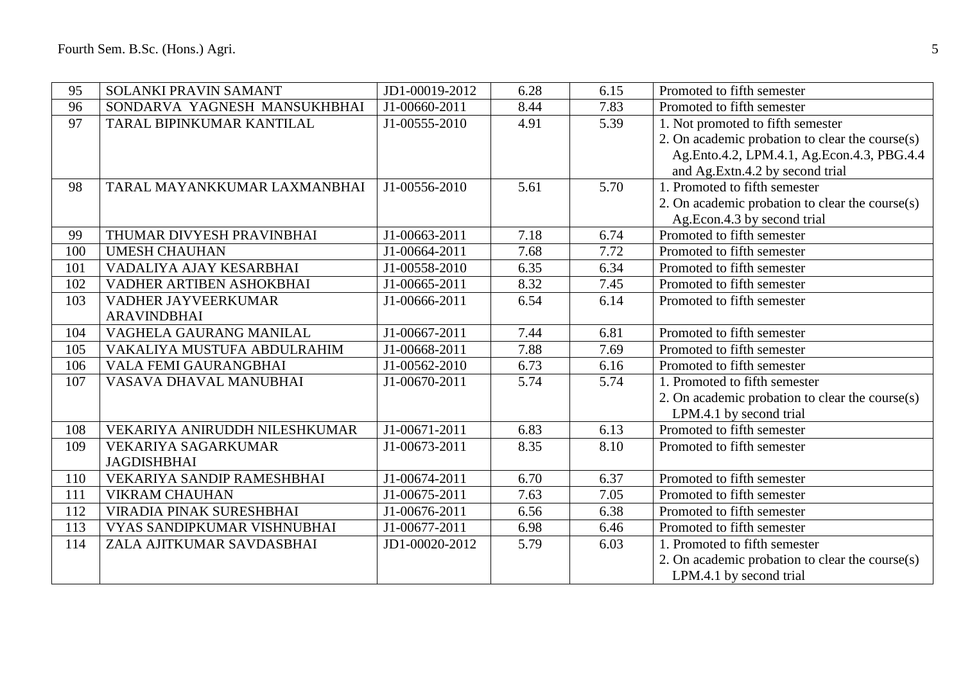| 95  | <b>SOLANKI PRAVIN SAMANT</b>  | JD1-00019-2012 | 6.28 | 6.15 | Promoted to fifth semester                      |
|-----|-------------------------------|----------------|------|------|-------------------------------------------------|
| 96  | SONDARVA YAGNESH MANSUKHBHAI  | J1-00660-2011  | 8.44 | 7.83 | Promoted to fifth semester                      |
| 97  | TARAL BIPINKUMAR KANTILAL     | J1-00555-2010  | 4.91 | 5.39 | 1. Not promoted to fifth semester               |
|     |                               |                |      |      | 2. On academic probation to clear the course(s) |
|     |                               |                |      |      | Ag.Ento.4.2, LPM.4.1, Ag.Econ.4.3, PBG.4.4      |
|     |                               |                |      |      | and Ag.Extn.4.2 by second trial                 |
| 98  | TARAL MAYANKKUMAR LAXMANBHAI  | J1-00556-2010  | 5.61 | 5.70 | 1. Promoted to fifth semester                   |
|     |                               |                |      |      | 2. On academic probation to clear the course(s) |
|     |                               |                |      |      | Ag.Econ.4.3 by second trial                     |
| 99  | THUMAR DIVYESH PRAVINBHAI     | J1-00663-2011  | 7.18 | 6.74 | Promoted to fifth semester                      |
| 100 | <b>UMESH CHAUHAN</b>          | J1-00664-2011  | 7.68 | 7.72 | Promoted to fifth semester                      |
| 101 | VADALIYA AJAY KESARBHAI       | J1-00558-2010  | 6.35 | 6.34 | Promoted to fifth semester                      |
| 102 | VADHER ARTIBEN ASHOKBHAI      | J1-00665-2011  | 8.32 | 7.45 | Promoted to fifth semester                      |
| 103 | VADHER JAYVEERKUMAR           | J1-00666-2011  | 6.54 | 6.14 | Promoted to fifth semester                      |
|     | <b>ARAVINDBHAI</b>            |                |      |      |                                                 |
| 104 | VAGHELA GAURANG MANILAL       | J1-00667-2011  | 7.44 | 6.81 | Promoted to fifth semester                      |
| 105 | VAKALIYA MUSTUFA ABDULRAHIM   | J1-00668-2011  | 7.88 | 7.69 | Promoted to fifth semester                      |
| 106 | VALA FEMI GAURANGBHAI         | J1-00562-2010  | 6.73 | 6.16 | Promoted to fifth semester                      |
| 107 | VASAVA DHAVAL MANUBHAI        | J1-00670-2011  | 5.74 | 5.74 | 1. Promoted to fifth semester                   |
|     |                               |                |      |      | 2. On academic probation to clear the course(s) |
|     |                               |                |      |      | LPM.4.1 by second trial                         |
| 108 | VEKARIYA ANIRUDDH NILESHKUMAR | J1-00671-2011  | 6.83 | 6.13 | Promoted to fifth semester                      |
| 109 | VEKARIYA SAGARKUMAR           | J1-00673-2011  | 8.35 | 8.10 | Promoted to fifth semester                      |
|     | <b>JAGDISHBHAI</b>            |                |      |      |                                                 |
| 110 | VEKARIYA SANDIP RAMESHBHAI    | J1-00674-2011  | 6.70 | 6.37 | Promoted to fifth semester                      |
| 111 | <b>VIKRAM CHAUHAN</b>         | J1-00675-2011  | 7.63 | 7.05 | Promoted to fifth semester                      |
| 112 | VIRADIA PINAK SURESHBHAI      | J1-00676-2011  | 6.56 | 6.38 | Promoted to fifth semester                      |
| 113 | VYAS SANDIPKUMAR VISHNUBHAI   | J1-00677-2011  | 6.98 | 6.46 | Promoted to fifth semester                      |
| 114 | ZALA AJITKUMAR SAVDASBHAI     | JD1-00020-2012 | 5.79 | 6.03 | 1. Promoted to fifth semester                   |
|     |                               |                |      |      | 2. On academic probation to clear the course(s) |
|     |                               |                |      |      | LPM.4.1 by second trial                         |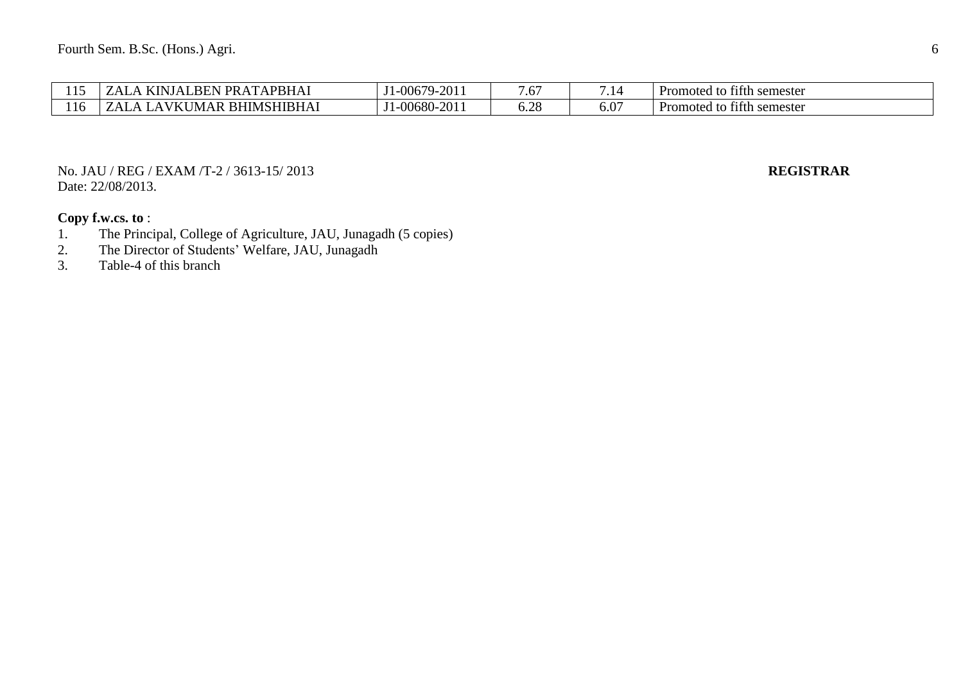| $\sim$ | <b>APBHAI</b><br>$\mathsf{T} \mathsf{PR} \, \mathsf{A}$<br>m<br>.BEN<br>1 N I<br>$\lambda$<br>. N. I | 201<br>$1 - 0067$ °<br>$4 - 7$     | ۔۔<br>$\cdot\,$      | . .           | $\sim$<br>Promoted<br>r semester<br>tith.<br>' u |
|--------|------------------------------------------------------------------------------------------------------|------------------------------------|----------------------|---------------|--------------------------------------------------|
| 116    | <b>RHIMSHIBHA1</b><br>MAR<br>$\lambda$<br>1 N I                                                      | 201<br>$1 - 00680 -$ <sup>27</sup> | $\cap$ $\cap$<br>◡.↩ | $0.0^{\circ}$ | $\sim$<br>Promoted<br>r semester<br>titth        |

No. JAU / REG / EXAM /T-2 / 3613-15/ 2013 **REGISTRAR** Date: 22/08/2013.

- 1. The Principal, College of Agriculture, JAU, Junagadh (5 copies)<br>2. The Director of Students' Welfare, JAU, Junagadh
- 2. The Director of Students' Welfare, JAU, Junagadh<br>3. Table-4 of this branch
- Table-4 of this branch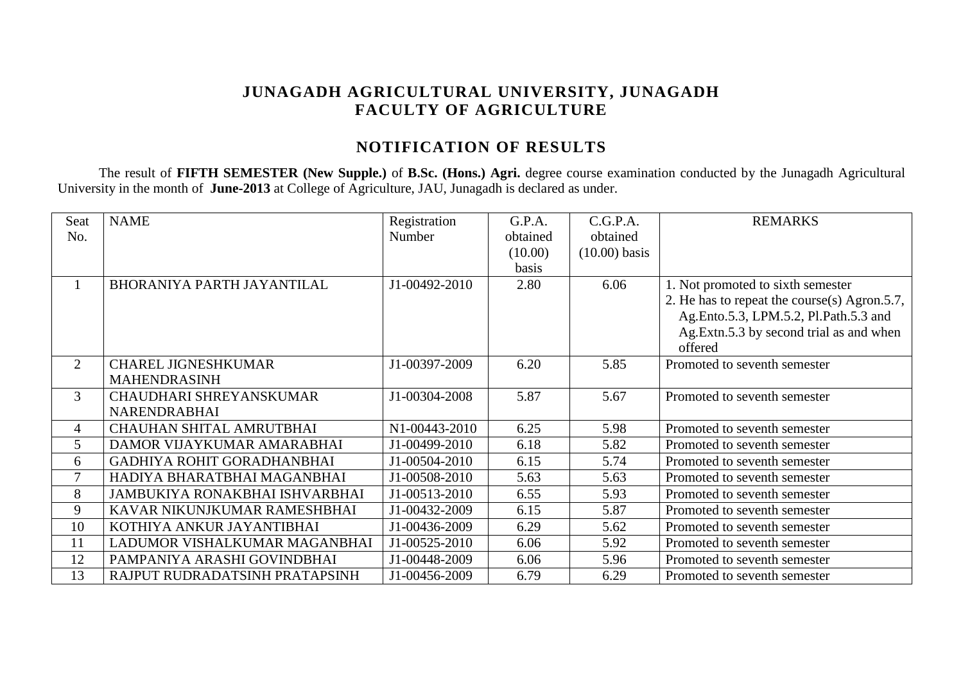# **JUNAGADH AGRICULTURAL UNIVERSITY, JUNAGADH FACULTY OF AGRICULTURE**

# **NOTIFICATION OF RESULTS**

The result of **FIFTH SEMESTER (New Supple.)** of **B.Sc. (Hons.) Agri.** degree course examination conducted by the Junagadh Agricultural University in the month of **June-2013** at College of Agriculture, JAU, Junagadh is declared as under.

| Seat           | <b>NAME</b>                           | Registration  | G.P.A.   | C.G.P.A.        | <b>REMARKS</b>                               |
|----------------|---------------------------------------|---------------|----------|-----------------|----------------------------------------------|
| No.            |                                       | Number        | obtained | obtained        |                                              |
|                |                                       |               | (10.00)  | $(10.00)$ basis |                                              |
|                |                                       |               | basis    |                 |                                              |
|                | BHORANIYA PARTH JAYANTILAL            | J1-00492-2010 | 2.80     | 6.06            | 1. Not promoted to sixth semester            |
|                |                                       |               |          |                 | 2. He has to repeat the course(s) Agron.5.7, |
|                |                                       |               |          |                 | Ag.Ento.5.3, LPM.5.2, Pl.Path.5.3 and        |
|                |                                       |               |          |                 | Ag. Extn. 5.3 by second trial as and when    |
|                |                                       |               |          |                 | offered                                      |
| $\overline{2}$ | <b>CHAREL JIGNESHKUMAR</b>            | J1-00397-2009 | 6.20     | 5.85            | Promoted to seventh semester                 |
|                | <b>MAHENDRASINH</b>                   |               |          |                 |                                              |
| $\overline{3}$ | <b>CHAUDHARI SHREYANSKUMAR</b>        | J1-00304-2008 | 5.87     | 5.67            | Promoted to seventh semester                 |
|                | <b>NARENDRABHAI</b>                   |               |          |                 |                                              |
| 4              | CHAUHAN SHITAL AMRUTBHAI              | N1-00443-2010 | 6.25     | 5.98            | Promoted to seventh semester                 |
| 5              | DAMOR VIJAYKUMAR AMARABHAI            | J1-00499-2010 | 6.18     | 5.82            | Promoted to seventh semester                 |
| 6              | GADHIYA ROHIT GORADHANBHAI            | J1-00504-2010 | 6.15     | 5.74            | Promoted to seventh semester                 |
| 7              | HADIYA BHARATBHAI MAGANBHAI           | J1-00508-2010 | 5.63     | 5.63            | Promoted to seventh semester                 |
| 8              | <b>JAMBUKIYA RONAKBHAI ISHVARBHAI</b> | J1-00513-2010 | 6.55     | 5.93            | Promoted to seventh semester                 |
| 9              | KAVAR NIKUNJKUMAR RAMESHBHAI          | J1-00432-2009 | 6.15     | 5.87            | Promoted to seventh semester                 |
| 10             | KOTHIYA ANKUR JAYANTIBHAI             | J1-00436-2009 | 6.29     | 5.62            | Promoted to seventh semester                 |
| 11             | LADUMOR VISHALKUMAR MAGANBHAI         | J1-00525-2010 | 6.06     | 5.92            | Promoted to seventh semester                 |
| 12             | PAMPANIYA ARASHI GOVINDBHAI           | J1-00448-2009 | 6.06     | 5.96            | Promoted to seventh semester                 |
| 13             | RAJPUT RUDRADATSINH PRATAPSINH        | J1-00456-2009 | 6.79     | 6.29            | Promoted to seventh semester                 |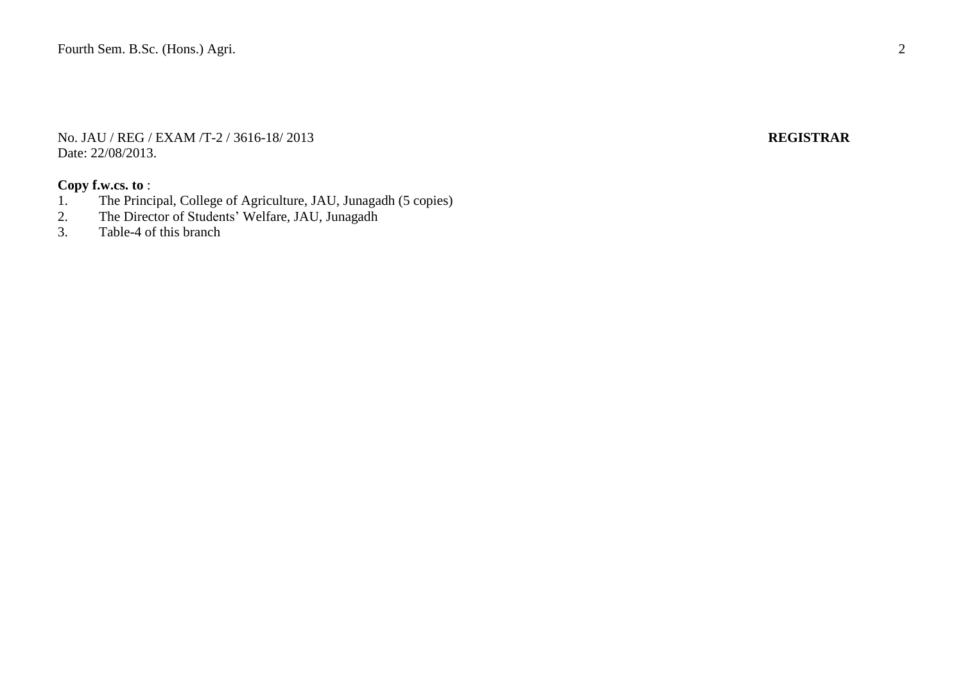No. JAU / REG / EXAM /T-2 / 3616-18/ 2013 **REGISTRAR** Date: 22/08/2013.

- 1. The Principal, College of Agriculture, JAU, Junagadh (5 copies)
- 2. The Director of Students' Welfare, JAU, Junagadh<br>3. Table-4 of this branch
- Table-4 of this branch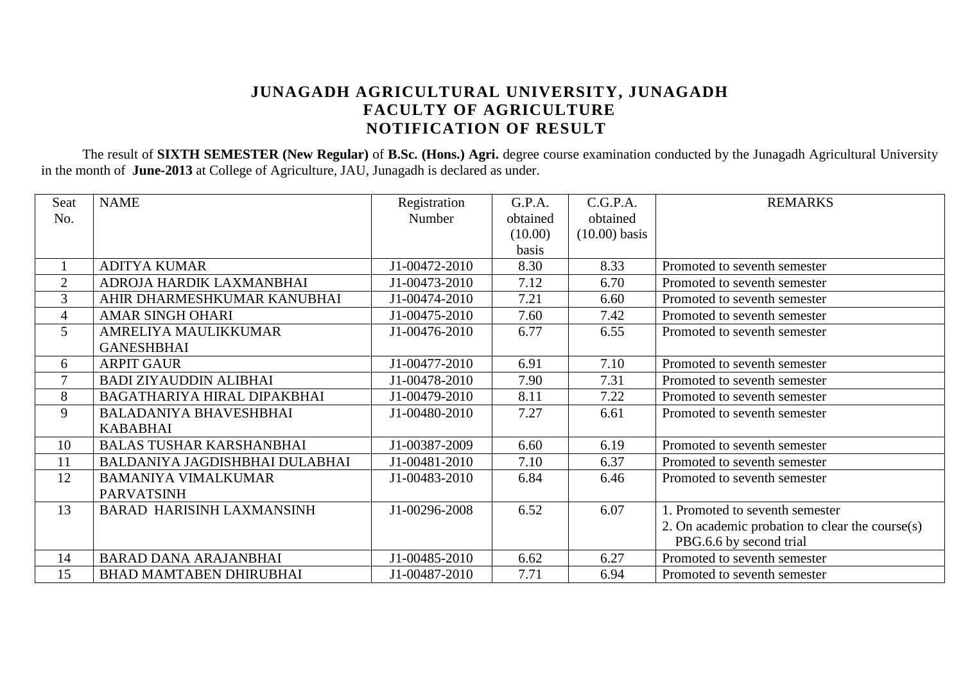# **JUNAGADH AGRICULTURAL UNIVERSITY, JUNAGADH FACULTY OF AGRICULTURE NOTIFICATION OF RESULT**

The result of **SIXTH SEMESTER (New Regular)** of **B.Sc. (Hons.) Agri.** degree course examination conducted by the Junagadh Agricultural University in the month of **June-2013** at College of Agriculture, JAU, Junagadh is declared as under.

| Seat           | <b>NAME</b>                        | Registration  | G.P.A.   | C.G.P.A.        | <b>REMARKS</b>                                  |
|----------------|------------------------------------|---------------|----------|-----------------|-------------------------------------------------|
| No.            |                                    | Number        | obtained | obtained        |                                                 |
|                |                                    |               | (10.00)  | $(10.00)$ basis |                                                 |
|                |                                    |               | basis    |                 |                                                 |
|                | <b>ADITYA KUMAR</b>                | J1-00472-2010 | 8.30     | 8.33            | Promoted to seventh semester                    |
| $\overline{2}$ | ADROJA HARDIK LAXMANBHAI           | J1-00473-2010 | 7.12     | 6.70            | Promoted to seventh semester                    |
| 3              | AHIR DHARMESHKUMAR KANUBHAI        | J1-00474-2010 | 7.21     | 6.60            | Promoted to seventh semester                    |
| $\overline{4}$ | <b>AMAR SINGH OHARI</b>            | J1-00475-2010 | 7.60     | 7.42            | Promoted to seventh semester                    |
| 5              | AMRELIYA MAULIKKUMAR               | J1-00476-2010 | 6.77     | 6.55            | Promoted to seventh semester                    |
|                | <b>GANESHBHAI</b>                  |               |          |                 |                                                 |
| 6              | <b>ARPIT GAUR</b>                  | J1-00477-2010 | 6.91     | 7.10            | Promoted to seventh semester                    |
| $\tau$         | <b>BADI ZIYAUDDIN ALIBHAI</b>      | J1-00478-2010 | 7.90     | 7.31            | Promoted to seventh semester                    |
| 8              | <b>BAGATHARIYA HIRAL DIPAKBHAI</b> | J1-00479-2010 | 8.11     | 7.22            | Promoted to seventh semester                    |
| 9              | <b>BALADANIYA BHAVESHBHAI</b>      | J1-00480-2010 | 7.27     | 6.61            | Promoted to seventh semester                    |
|                | <b>KABABHAI</b>                    |               |          |                 |                                                 |
| 10             | <b>BALAS TUSHAR KARSHANBHAI</b>    | J1-00387-2009 | 6.60     | 6.19            | Promoted to seventh semester                    |
| 11             | BALDANIYA JAGDISHBHAI DULABHAI     | J1-00481-2010 | 7.10     | 6.37            | Promoted to seventh semester                    |
| 12             | <b>BAMANIYA VIMALKUMAR</b>         | J1-00483-2010 | 6.84     | 6.46            | Promoted to seventh semester                    |
|                | <b>PARVATSINH</b>                  |               |          |                 |                                                 |
| 13             | <b>BARAD HARISINH LAXMANSINH</b>   | J1-00296-2008 | 6.52     | 6.07            | 1. Promoted to seventh semester                 |
|                |                                    |               |          |                 | 2. On academic probation to clear the course(s) |
|                |                                    |               |          |                 | PBG.6.6 by second trial                         |
| 14             | <b>BARAD DANA ARAJANBHAI</b>       | J1-00485-2010 | 6.62     | 6.27            | Promoted to seventh semester                    |
| 15             | <b>BHAD MAMTABEN DHIRUBHAI</b>     | J1-00487-2010 | 7.71     | 6.94            | Promoted to seventh semester                    |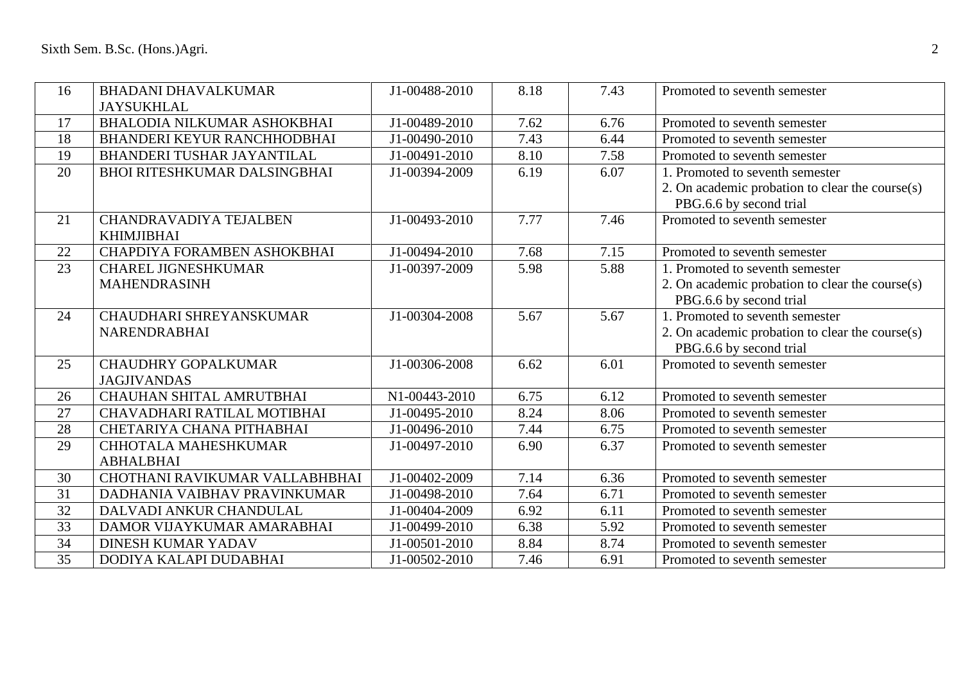| 16              | <b>BHADANI DHAVALKUMAR</b>          | J1-00488-2010 | 8.18 | 7.43 | Promoted to seventh semester                    |
|-----------------|-------------------------------------|---------------|------|------|-------------------------------------------------|
|                 | <b>JAYSUKHLAL</b>                   |               |      |      |                                                 |
| 17              | BHALODIA NILKUMAR ASHOKBHAI         | J1-00489-2010 | 7.62 | 6.76 | Promoted to seventh semester                    |
| 18              | <b>BHANDERI KEYUR RANCHHODBHAI</b>  | J1-00490-2010 | 7.43 | 6.44 | Promoted to seventh semester                    |
| 19              | BHANDERI TUSHAR JAYANTILAL          | J1-00491-2010 | 8.10 | 7.58 | Promoted to seventh semester                    |
| 20              | <b>BHOI RITESHKUMAR DALSINGBHAI</b> | J1-00394-2009 | 6.19 | 6.07 | 1. Promoted to seventh semester                 |
|                 |                                     |               |      |      | 2. On academic probation to clear the course(s) |
|                 |                                     |               |      |      | PBG.6.6 by second trial                         |
| 21              | CHANDRAVADIYA TEJALBEN              | J1-00493-2010 | 7.77 | 7.46 | Promoted to seventh semester                    |
|                 | <b>KHIMJIBHAI</b>                   |               |      |      |                                                 |
| 22              | CHAPDIYA FORAMBEN ASHOKBHAI         | J1-00494-2010 | 7.68 | 7.15 | Promoted to seventh semester                    |
| 23              | <b>CHAREL JIGNESHKUMAR</b>          | J1-00397-2009 | 5.98 | 5.88 | 1. Promoted to seventh semester                 |
|                 | <b>MAHENDRASINH</b>                 |               |      |      | 2. On academic probation to clear the course(s) |
|                 |                                     |               |      |      | PBG.6.6 by second trial                         |
| 24              | CHAUDHARI SHREYANSKUMAR             | J1-00304-2008 | 5.67 | 5.67 | 1. Promoted to seventh semester                 |
|                 | NARENDRABHAI                        |               |      |      | 2. On academic probation to clear the course(s) |
|                 |                                     |               |      |      | PBG.6.6 by second trial                         |
| 25              | <b>CHAUDHRY GOPALKUMAR</b>          | J1-00306-2008 | 6.62 | 6.01 | Promoted to seventh semester                    |
|                 | <b>JAGJIVANDAS</b>                  |               |      |      |                                                 |
| 26              | CHAUHAN SHITAL AMRUTBHAI            | N1-00443-2010 | 6.75 | 6.12 | Promoted to seventh semester                    |
| 27              | CHAVADHARI RATILAL MOTIBHAI         | J1-00495-2010 | 8.24 | 8.06 | Promoted to seventh semester                    |
| 28              | CHETARIYA CHANA PITHABHAI           | J1-00496-2010 | 7.44 | 6.75 | Promoted to seventh semester                    |
| 29              | CHHOTALA MAHESHKUMAR                | J1-00497-2010 | 6.90 | 6.37 | Promoted to seventh semester                    |
|                 | <b>ABHALBHAI</b>                    |               |      |      |                                                 |
| 30              | CHOTHANI RAVIKUMAR VALLABHBHAI      | J1-00402-2009 | 7.14 | 6.36 | Promoted to seventh semester                    |
| 31              | DADHANIA VAIBHAV PRAVINKUMAR        | J1-00498-2010 | 7.64 | 6.71 | Promoted to seventh semester                    |
| 32              | DALVADI ANKUR CHANDULAL             | J1-00404-2009 | 6.92 | 6.11 | Promoted to seventh semester                    |
| 33              | DAMOR VIJAYKUMAR AMARABHAI          | J1-00499-2010 | 6.38 | 5.92 | Promoted to seventh semester                    |
| 34              | <b>DINESH KUMAR YADAV</b>           | J1-00501-2010 | 8.84 | 8.74 | Promoted to seventh semester                    |
| $\overline{35}$ | DODIYA KALAPI DUDABHAI              | J1-00502-2010 | 7.46 | 6.91 | Promoted to seventh semester                    |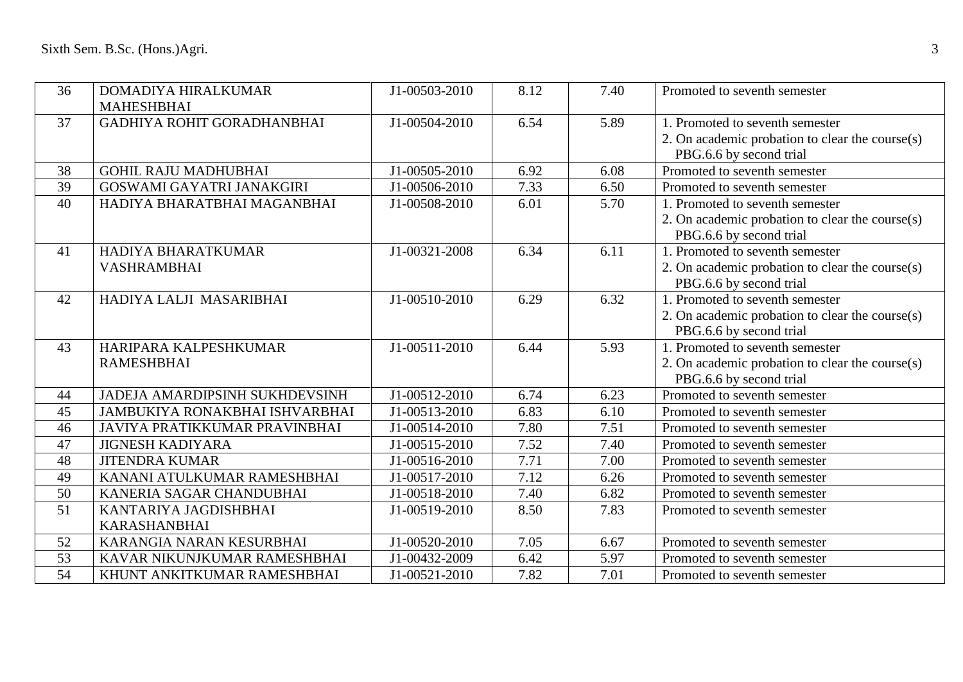| 36              | DOMADIYA HIRALKUMAR            | J1-00503-2010 | 8.12 | 7.40 | Promoted to seventh semester                    |
|-----------------|--------------------------------|---------------|------|------|-------------------------------------------------|
|                 | <b>MAHESHBHAI</b>              |               |      |      |                                                 |
| 37              | GADHIYA ROHIT GORADHANBHAI     | J1-00504-2010 | 6.54 | 5.89 | 1. Promoted to seventh semester                 |
|                 |                                |               |      |      | 2. On academic probation to clear the course(s) |
|                 |                                |               |      |      | PBG.6.6 by second trial                         |
| 38              | <b>GOHIL RAJU MADHUBHAI</b>    | J1-00505-2010 | 6.92 | 6.08 | Promoted to seventh semester                    |
| 39              | GOSWAMI GAYATRI JANAKGIRI      | J1-00506-2010 | 7.33 | 6.50 | Promoted to seventh semester                    |
| 40              | HADIYA BHARATBHAI MAGANBHAI    | J1-00508-2010 | 6.01 | 5.70 | 1. Promoted to seventh semester                 |
|                 |                                |               |      |      | 2. On academic probation to clear the course(s) |
|                 |                                |               |      |      | PBG.6.6 by second trial                         |
| 41              | HADIYA BHARATKUMAR             | J1-00321-2008 | 6.34 | 6.11 | 1. Promoted to seventh semester                 |
|                 | VASHRAMBHAI                    |               |      |      | 2. On academic probation to clear the course(s) |
|                 |                                |               |      |      | PBG.6.6 by second trial                         |
| 42              | HADIYA LALJI MASARIBHAI        | J1-00510-2010 | 6.29 | 6.32 | 1. Promoted to seventh semester                 |
|                 |                                |               |      |      | 2. On academic probation to clear the course(s) |
|                 |                                |               |      |      | PBG.6.6 by second trial                         |
| 43              | HARIPARA KALPESHKUMAR          | J1-00511-2010 | 6.44 | 5.93 | 1. Promoted to seventh semester                 |
|                 | <b>RAMESHBHAI</b>              |               |      |      | 2. On academic probation to clear the course(s) |
|                 |                                |               |      |      | PBG.6.6 by second trial                         |
| 44              | JADEJA AMARDIPSINH SUKHDEVSINH | J1-00512-2010 | 6.74 | 6.23 | Promoted to seventh semester                    |
| 45              | JAMBUKIYA RONAKBHAI ISHVARBHAI | J1-00513-2010 | 6.83 | 6.10 | Promoted to seventh semester                    |
| 46              | JAVIYA PRATIKKUMAR PRAVINBHAI  | J1-00514-2010 | 7.80 | 7.51 | Promoted to seventh semester                    |
| 47              | <b>JIGNESH KADIYARA</b>        | J1-00515-2010 | 7.52 | 7.40 | Promoted to seventh semester                    |
| 48              | <b>JITENDRA KUMAR</b>          | J1-00516-2010 | 7.71 | 7.00 | Promoted to seventh semester                    |
| 49              | KANANI ATULKUMAR RAMESHBHAI    | J1-00517-2010 | 7.12 | 6.26 | Promoted to seventh semester                    |
| 50              | KANERIA SAGAR CHANDUBHAI       | J1-00518-2010 | 7.40 | 6.82 | Promoted to seventh semester                    |
| $\overline{51}$ | KANTARIYA JAGDISHBHAI          | J1-00519-2010 | 8.50 | 7.83 | Promoted to seventh semester                    |
|                 | <b>KARASHANBHAI</b>            |               |      |      |                                                 |
| 52              | KARANGIA NARAN KESURBHAI       | J1-00520-2010 | 7.05 | 6.67 | Promoted to seventh semester                    |
| $\overline{53}$ | KAVAR NIKUNJKUMAR RAMESHBHAI   | J1-00432-2009 | 6.42 | 5.97 | Promoted to seventh semester                    |
| $\overline{54}$ | KHUNT ANKITKUMAR RAMESHBHAI    | J1-00521-2010 | 7.82 | 7.01 | Promoted to seventh semester                    |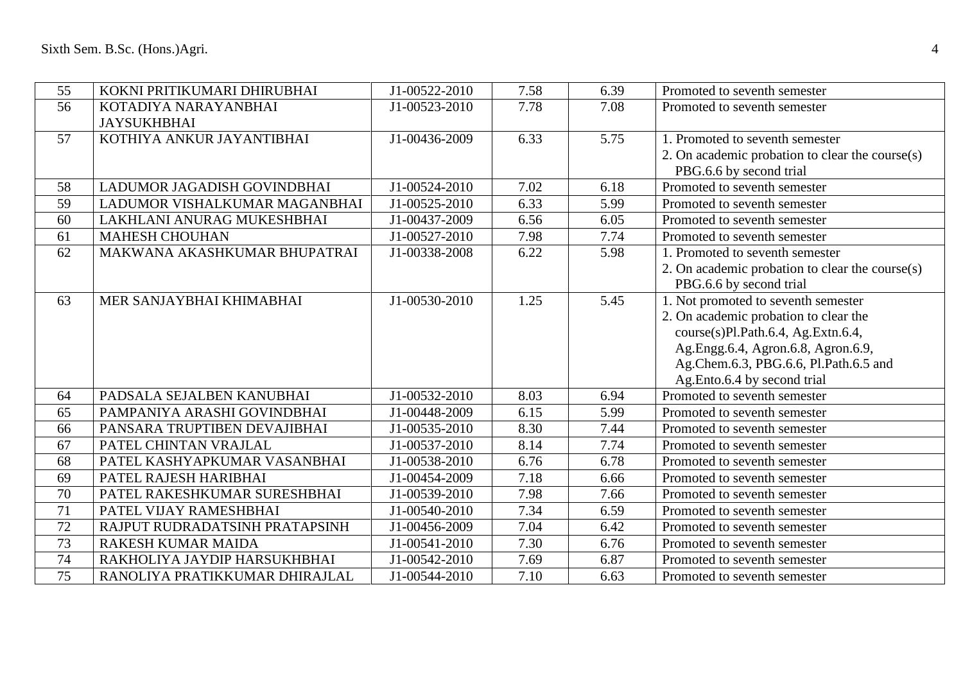| 55 | KOKNI PRITIKUMARI DHIRUBHAI    | J1-00522-2010 | 7.58 | 6.39 | Promoted to seventh semester                    |
|----|--------------------------------|---------------|------|------|-------------------------------------------------|
| 56 | KOTADIYA NARAYANBHAI           | J1-00523-2010 | 7.78 | 7.08 | Promoted to seventh semester                    |
|    | <b>JAYSUKHBHAI</b>             |               |      |      |                                                 |
| 57 | KOTHIYA ANKUR JAYANTIBHAI      | J1-00436-2009 | 6.33 | 5.75 | 1. Promoted to seventh semester                 |
|    |                                |               |      |      | 2. On academic probation to clear the course(s) |
|    |                                |               |      |      | PBG.6.6 by second trial                         |
| 58 | LADUMOR JAGADISH GOVINDBHAI    | J1-00524-2010 | 7.02 | 6.18 | Promoted to seventh semester                    |
| 59 | LADUMOR VISHALKUMAR MAGANBHAI  | J1-00525-2010 | 6.33 | 5.99 | Promoted to seventh semester                    |
| 60 | LAKHLANI ANURAG MUKESHBHAI     | J1-00437-2009 | 6.56 | 6.05 | Promoted to seventh semester                    |
| 61 | <b>MAHESH CHOUHAN</b>          | J1-00527-2010 | 7.98 | 7.74 | Promoted to seventh semester                    |
| 62 | MAKWANA AKASHKUMAR BHUPATRAI   | J1-00338-2008 | 6.22 | 5.98 | 1. Promoted to seventh semester                 |
|    |                                |               |      |      | 2. On academic probation to clear the course(s) |
|    |                                |               |      |      | PBG.6.6 by second trial                         |
| 63 | MER SANJAYBHAI KHIMABHAI       | J1-00530-2010 | 1.25 | 5.45 | 1. Not promoted to seventh semester             |
|    |                                |               |      |      | 2. On academic probation to clear the           |
|    |                                |               |      |      | course(s)Pl.Path.6.4, Ag.Extn.6.4,              |
|    |                                |               |      |      | Ag.Engg.6.4, Agron.6.8, Agron.6.9,              |
|    |                                |               |      |      | Ag.Chem.6.3, PBG.6.6, Pl.Path.6.5 and           |
|    |                                |               |      |      | Ag.Ento.6.4 by second trial                     |
| 64 | PADSALA SEJALBEN KANUBHAI      | J1-00532-2010 | 8.03 | 6.94 | Promoted to seventh semester                    |
| 65 | PAMPANIYA ARASHI GOVINDBHAI    | J1-00448-2009 | 6.15 | 5.99 | Promoted to seventh semester                    |
| 66 | PANSARA TRUPTIBEN DEVAJIBHAI   | J1-00535-2010 | 8.30 | 7.44 | Promoted to seventh semester                    |
| 67 | PATEL CHINTAN VRAJLAL          | J1-00537-2010 | 8.14 | 7.74 | Promoted to seventh semester                    |
| 68 | PATEL KASHYAPKUMAR VASANBHAI   | J1-00538-2010 | 6.76 | 6.78 | Promoted to seventh semester                    |
| 69 | PATEL RAJESH HARIBHAI          | J1-00454-2009 | 7.18 | 6.66 | Promoted to seventh semester                    |
| 70 | PATEL RAKESHKUMAR SURESHBHAI   | J1-00539-2010 | 7.98 | 7.66 | Promoted to seventh semester                    |
| 71 | PATEL VIJAY RAMESHBHAI         | J1-00540-2010 | 7.34 | 6.59 | Promoted to seventh semester                    |
| 72 | RAJPUT RUDRADATSINH PRATAPSINH | J1-00456-2009 | 7.04 | 6.42 | Promoted to seventh semester                    |
| 73 | RAKESH KUMAR MAIDA             | J1-00541-2010 | 7.30 | 6.76 | Promoted to seventh semester                    |
| 74 | RAKHOLIYA JAYDIP HARSUKHBHAI   | J1-00542-2010 | 7.69 | 6.87 | Promoted to seventh semester                    |
| 75 | RANOLIYA PRATIKKUMAR DHIRAJLAL | J1-00544-2010 | 7.10 | 6.63 | Promoted to seventh semester                    |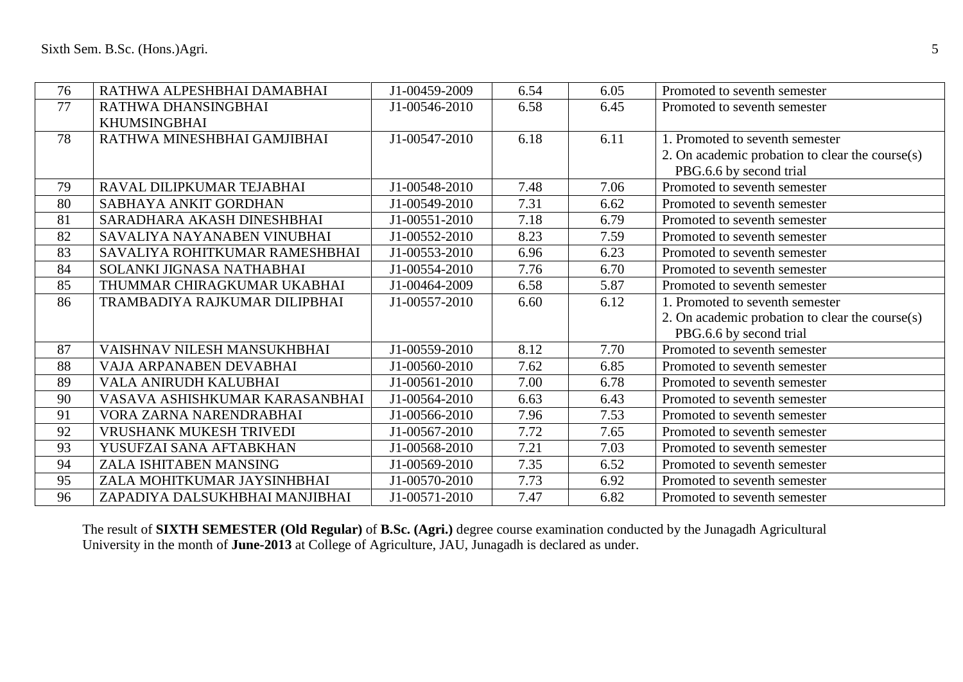| 76 | RATHWA ALPESHBHAI DAMABHAI     | J1-00459-2009 | 6.54 | 6.05 | Promoted to seventh semester                    |
|----|--------------------------------|---------------|------|------|-------------------------------------------------|
| 77 | RATHWA DHANSINGBHAI            | J1-00546-2010 | 6.58 | 6.45 | Promoted to seventh semester                    |
|    | <b>KHUMSINGBHAI</b>            |               |      |      |                                                 |
| 78 | RATHWA MINESHBHAI GAMJIBHAI    | J1-00547-2010 | 6.18 | 6.11 | 1. Promoted to seventh semester                 |
|    |                                |               |      |      | 2. On academic probation to clear the course(s) |
|    |                                |               |      |      | PBG.6.6 by second trial                         |
| 79 | RAVAL DILIPKUMAR TEJABHAI      | J1-00548-2010 | 7.48 | 7.06 | Promoted to seventh semester                    |
| 80 | SABHAYA ANKIT GORDHAN          | J1-00549-2010 | 7.31 | 6.62 | Promoted to seventh semester                    |
| 81 | SARADHARA AKASH DINESHBHAI     | J1-00551-2010 | 7.18 | 6.79 | Promoted to seventh semester                    |
| 82 | SAVALIYA NAYANABEN VINUBHAI    | J1-00552-2010 | 8.23 | 7.59 | Promoted to seventh semester                    |
| 83 | SAVALIYA ROHITKUMAR RAMESHBHAI | J1-00553-2010 | 6.96 | 6.23 | Promoted to seventh semester                    |
| 84 | SOLANKI JIGNASA NATHABHAI      | J1-00554-2010 | 7.76 | 6.70 | Promoted to seventh semester                    |
| 85 | THUMMAR CHIRAGKUMAR UKABHAI    | J1-00464-2009 | 6.58 | 5.87 | Promoted to seventh semester                    |
| 86 | TRAMBADIYA RAJKUMAR DILIPBHAI  | J1-00557-2010 | 6.60 | 6.12 | 1. Promoted to seventh semester                 |
|    |                                |               |      |      | 2. On academic probation to clear the course(s) |
|    |                                |               |      |      | PBG.6.6 by second trial                         |
| 87 | VAISHNAV NILESH MANSUKHBHAI    | J1-00559-2010 | 8.12 | 7.70 | Promoted to seventh semester                    |
| 88 | VAJA ARPANABEN DEVABHAI        | J1-00560-2010 | 7.62 | 6.85 | Promoted to seventh semester                    |
| 89 | VALA ANIRUDH KALUBHAI          | J1-00561-2010 | 7.00 | 6.78 | Promoted to seventh semester                    |
| 90 | VASAVA ASHISHKUMAR KARASANBHAI | J1-00564-2010 | 6.63 | 6.43 | Promoted to seventh semester                    |
| 91 | VORA ZARNA NARENDRABHAI        | J1-00566-2010 | 7.96 | 7.53 | Promoted to seventh semester                    |
| 92 | VRUSHANK MUKESH TRIVEDI        | J1-00567-2010 | 7.72 | 7.65 | Promoted to seventh semester                    |
| 93 | YUSUFZAI SANA AFTABKHAN        | J1-00568-2010 | 7.21 | 7.03 | Promoted to seventh semester                    |
| 94 | ZALA ISHITABEN MANSING         | J1-00569-2010 | 7.35 | 6.52 | Promoted to seventh semester                    |
| 95 | ZALA MOHITKUMAR JAYSINHBHAI    | J1-00570-2010 | 7.73 | 6.92 | Promoted to seventh semester                    |
| 96 | ZAPADIYA DALSUKHBHAI MANJIBHAI | J1-00571-2010 | 7.47 | 6.82 | Promoted to seventh semester                    |

The result of **SIXTH SEMESTER (Old Regular)** of **B.Sc. (Agri.)** degree course examination conducted by the Junagadh Agricultural University in the month of **June-2013** at College of Agriculture, JAU, Junagadh is declared as under.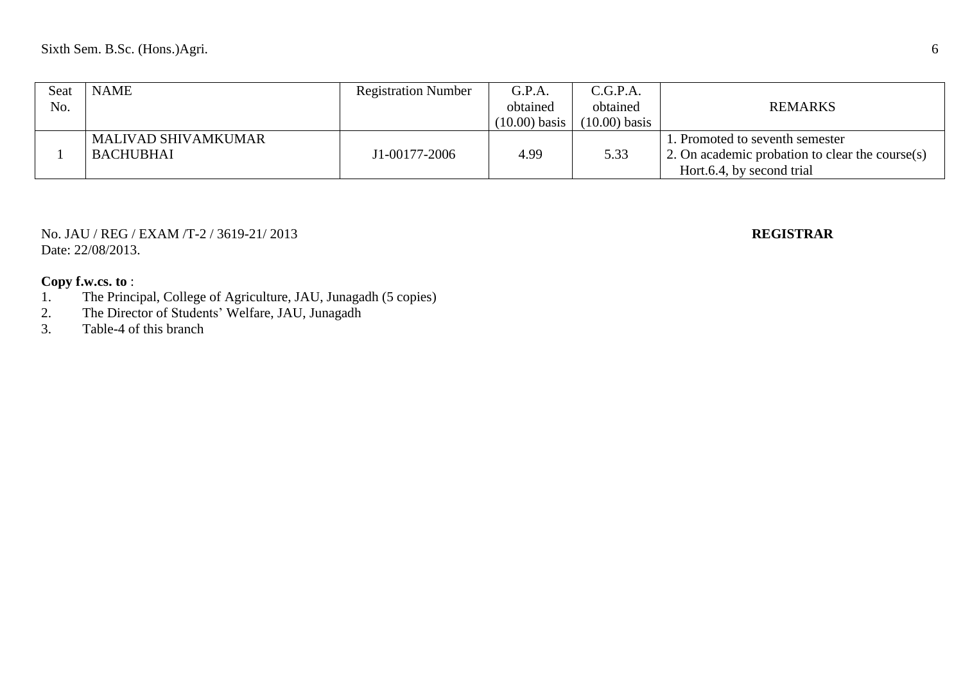| Seat | <b>NAME</b>                | <b>Registration Number</b> | G.P.A.          | C.G.P.A.        |                                                              |
|------|----------------------------|----------------------------|-----------------|-----------------|--------------------------------------------------------------|
| No.  |                            |                            | obtained        | obtained        | <b>REMARKS</b>                                               |
|      |                            |                            | $(10.00)$ basis | $(10.00)$ basis |                                                              |
|      | <b>MALIVAD SHIVAMKUMAR</b> |                            |                 |                 | 1. Promoted to seventh semester                              |
|      | <b>BACHUBHAI</b>           | J1-00177-2006              | 4.99            | 5.33            | $\frac{1}{2}$ . On academic probation to clear the course(s) |
|      |                            |                            |                 |                 | Hort.6.4, by second trial                                    |

No. JAU / REG / EXAM /T-2 / 3619-21/ 2013 **REGISTRAR** Date: 22/08/2013.

- 1. The Principal, College of Agriculture, JAU, Junagadh (5 copies)
- 2. The Director of Students' Welfare, JAU, Junagadh
- 3. Table-4 of this branch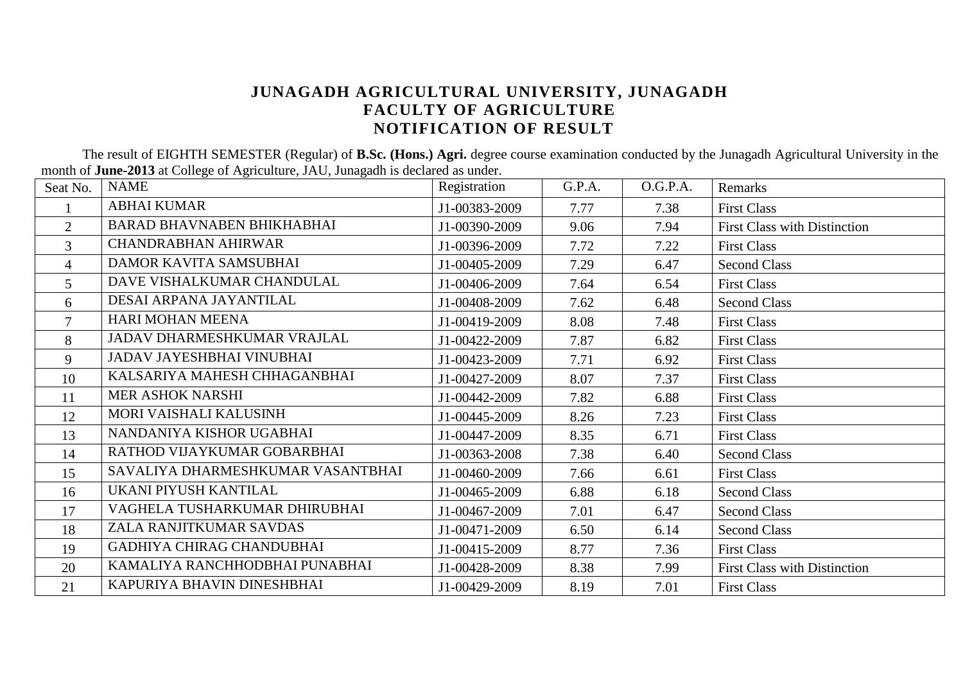# **JUNAGADH AGRICULTURAL UNIVERSITY, JUNAGADH FACULTY OF AGRICULTURE NOTIFICATION OF RESULT**

The result of EIGHTH SEMESTER (Regular) of **B.Sc. (Hons.) Agri.** degree course examination conducted by the Junagadh Agricultural University in the month of **June-2013** at College of Agriculture, JAU, Junagadh is declared as under.

| Seat No.       | <b>NAME</b>                       | Registration  | G.P.A. | O.G.P.A. | Remarks                             |
|----------------|-----------------------------------|---------------|--------|----------|-------------------------------------|
|                | <b>ABHAI KUMAR</b>                | J1-00383-2009 | 7.77   | 7.38     | <b>First Class</b>                  |
| 2              | <b>BARAD BHAVNABEN BHIKHABHAI</b> | J1-00390-2009 | 9.06   | 7.94     | <b>First Class with Distinction</b> |
| $\overline{3}$ | <b>CHANDRABHAN AHIRWAR</b>        | J1-00396-2009 | 7.72   | 7.22     | <b>First Class</b>                  |
| $\overline{4}$ | <b>DAMOR KAVITA SAMSUBHAI</b>     | J1-00405-2009 | 7.29   | 6.47     | <b>Second Class</b>                 |
| 5              | DAVE VISHALKUMAR CHANDULAL        | J1-00406-2009 | 7.64   | 6.54     | <b>First Class</b>                  |
| 6              | DESAI ARPANA JAYANTILAL           | J1-00408-2009 | 7.62   | 6.48     | <b>Second Class</b>                 |
| 7              | HARI MOHAN MEENA                  | J1-00419-2009 | 8.08   | 7.48     | <b>First Class</b>                  |
| 8              | JADAV DHARMESHKUMAR VRAJLAL       | J1-00422-2009 | 7.87   | 6.82     | <b>First Class</b>                  |
| 9              | <b>JADAV JAYESHBHAI VINUBHAI</b>  | J1-00423-2009 | 7.71   | 6.92     | <b>First Class</b>                  |
| 10             | KALSARIYA MAHESH CHHAGANBHAI      | J1-00427-2009 | 8.07   | 7.37     | <b>First Class</b>                  |
| 11             | <b>MER ASHOK NARSHI</b>           | J1-00442-2009 | 7.82   | 6.88     | <b>First Class</b>                  |
| 12             | MORI VAISHALI KALUSINH            | J1-00445-2009 | 8.26   | 7.23     | <b>First Class</b>                  |
| 13             | NANDANIYA KISHOR UGABHAI          | J1-00447-2009 | 8.35   | 6.71     | <b>First Class</b>                  |
| 14             | RATHOD VIJAYKUMAR GOBARBHAI       | J1-00363-2008 | 7.38   | 6.40     | <b>Second Class</b>                 |
| 15             | SAVALIYA DHARMESHKUMAR VASANTBHAI | J1-00460-2009 | 7.66   | 6.61     | <b>First Class</b>                  |
| 16             | UKANI PIYUSH KANTILAL             | J1-00465-2009 | 6.88   | 6.18     | <b>Second Class</b>                 |
| 17             | VAGHELA TUSHARKUMAR DHIRUBHAI     | J1-00467-2009 | 7.01   | 6.47     | <b>Second Class</b>                 |
| 18             | ZALA RANJITKUMAR SAVDAS           | J1-00471-2009 | 6.50   | 6.14     | <b>Second Class</b>                 |
| 19             | GADHIYA CHIRAG CHANDUBHAI         | J1-00415-2009 | 8.77   | 7.36     | <b>First Class</b>                  |
| 20             | KAMALIYA RANCHHODBHAI PUNABHAI    | J1-00428-2009 | 8.38   | 7.99     | First Class with Distinction        |
| 21             | KAPURIYA BHAVIN DINESHBHAI        | J1-00429-2009 | 8.19   | 7.01     | <b>First Class</b>                  |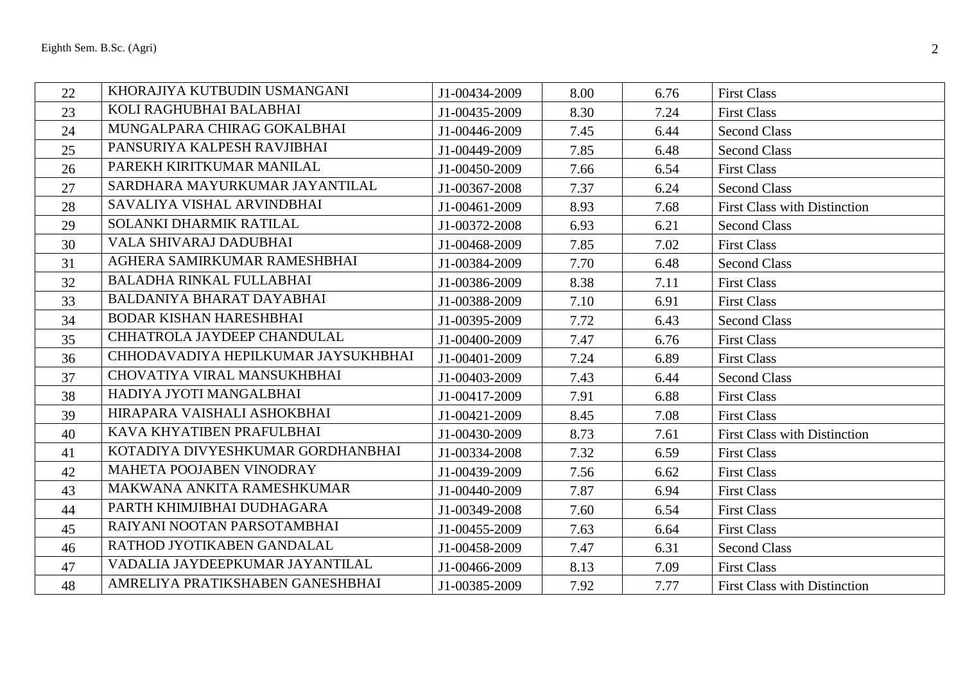| 22 | KHORAJIYA KUTBUDIN USMANGANI        | J1-00434-2009 | 8.00 | 6.76 | <b>First Class</b>                  |
|----|-------------------------------------|---------------|------|------|-------------------------------------|
| 23 | KOLI RAGHUBHAI BALABHAI             | J1-00435-2009 | 8.30 | 7.24 | <b>First Class</b>                  |
| 24 | MUNGALPARA CHIRAG GOKALBHAI         | J1-00446-2009 | 7.45 | 6.44 | <b>Second Class</b>                 |
| 25 | PANSURIYA KALPESH RAVJIBHAI         | J1-00449-2009 | 7.85 | 6.48 | <b>Second Class</b>                 |
| 26 | PAREKH KIRITKUMAR MANILAL           | J1-00450-2009 | 7.66 | 6.54 | <b>First Class</b>                  |
| 27 | SARDHARA MAYURKUMAR JAYANTILAL      | J1-00367-2008 | 7.37 | 6.24 | <b>Second Class</b>                 |
| 28 | SAVALIYA VISHAL ARVINDBHAI          | J1-00461-2009 | 8.93 | 7.68 | <b>First Class with Distinction</b> |
| 29 | SOLANKI DHARMIK RATILAL             | J1-00372-2008 | 6.93 | 6.21 | <b>Second Class</b>                 |
| 30 | VALA SHIVARAJ DADUBHAI              | J1-00468-2009 | 7.85 | 7.02 | <b>First Class</b>                  |
| 31 | AGHERA SAMIRKUMAR RAMESHBHAI        | J1-00384-2009 | 7.70 | 6.48 | <b>Second Class</b>                 |
| 32 | <b>BALADHA RINKAL FULLABHAI</b>     | J1-00386-2009 | 8.38 | 7.11 | <b>First Class</b>                  |
| 33 | BALDANIYA BHARAT DAYABHAI           | J1-00388-2009 | 7.10 | 6.91 | <b>First Class</b>                  |
| 34 | <b>BODAR KISHAN HARESHBHAI</b>      | J1-00395-2009 | 7.72 | 6.43 | <b>Second Class</b>                 |
| 35 | CHHATROLA JAYDEEP CHANDULAL         | J1-00400-2009 | 7.47 | 6.76 | <b>First Class</b>                  |
| 36 | CHHODAVADIYA HEPILKUMAR JAYSUKHBHAI | J1-00401-2009 | 7.24 | 6.89 | <b>First Class</b>                  |
| 37 | CHOVATIYA VIRAL MANSUKHBHAI         | J1-00403-2009 | 7.43 | 6.44 | <b>Second Class</b>                 |
| 38 | HADIYA JYOTI MANGALBHAI             | J1-00417-2009 | 7.91 | 6.88 | <b>First Class</b>                  |
| 39 | HIRAPARA VAISHALI ASHOKBHAI         | J1-00421-2009 | 8.45 | 7.08 | <b>First Class</b>                  |
| 40 | KAVA KHYATIBEN PRAFULBHAI           | J1-00430-2009 | 8.73 | 7.61 | <b>First Class with Distinction</b> |
| 41 | KOTADIYA DIVYESHKUMAR GORDHANBHAI   | J1-00334-2008 | 7.32 | 6.59 | <b>First Class</b>                  |
| 42 | MAHETA POOJABEN VINODRAY            | J1-00439-2009 | 7.56 | 6.62 | <b>First Class</b>                  |
| 43 | MAKWANA ANKITA RAMESHKUMAR          | J1-00440-2009 | 7.87 | 6.94 | <b>First Class</b>                  |
| 44 | PARTH KHIMJIBHAI DUDHAGARA          | J1-00349-2008 | 7.60 | 6.54 | <b>First Class</b>                  |
| 45 | RAIYANI NOOTAN PARSOTAMBHAI         | J1-00455-2009 | 7.63 | 6.64 | <b>First Class</b>                  |
| 46 | RATHOD JYOTIKABEN GANDALAL          | J1-00458-2009 | 7.47 | 6.31 | <b>Second Class</b>                 |
| 47 | VADALIA JAYDEEPKUMAR JAYANTILAL     | J1-00466-2009 | 8.13 | 7.09 | <b>First Class</b>                  |
| 48 | AMRELIYA PRATIKSHABEN GANESHBHAI    | J1-00385-2009 | 7.92 | 7.77 | <b>First Class with Distinction</b> |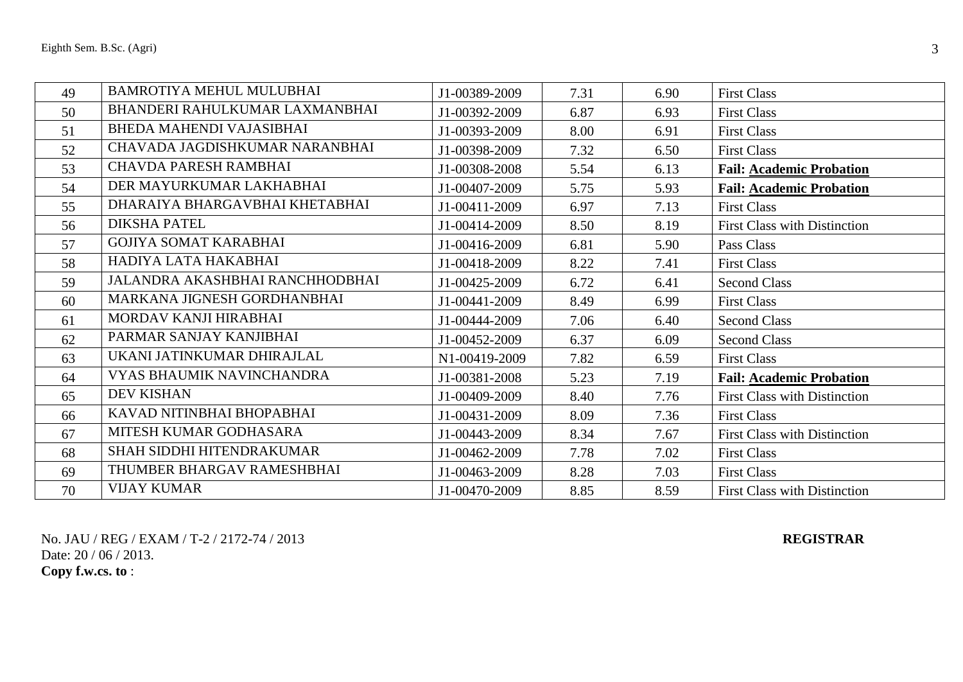| 49 | <b>BAMROTIYA MEHUL MULUBHAI</b> | J1-00389-2009 | 7.31 | 6.90 | <b>First Class</b>                  |
|----|---------------------------------|---------------|------|------|-------------------------------------|
| 50 | BHANDERI RAHULKUMAR LAXMANBHAI  | J1-00392-2009 | 6.87 | 6.93 | <b>First Class</b>                  |
| 51 | <b>BHEDA MAHENDI VAJASIBHAI</b> | J1-00393-2009 | 8.00 | 6.91 | <b>First Class</b>                  |
| 52 | CHAVADA JAGDISHKUMAR NARANBHAI  | J1-00398-2009 | 7.32 | 6.50 | <b>First Class</b>                  |
| 53 | CHAVDA PARESH RAMBHAI           | J1-00308-2008 | 5.54 | 6.13 | <b>Fail: Academic Probation</b>     |
| 54 | DER MAYURKUMAR LAKHABHAI        | J1-00407-2009 | 5.75 | 5.93 | <b>Fail: Academic Probation</b>     |
| 55 | DHARAIYA BHARGAVBHAI KHETABHAI  | J1-00411-2009 | 6.97 | 7.13 | <b>First Class</b>                  |
| 56 | <b>DIKSHA PATEL</b>             | J1-00414-2009 | 8.50 | 8.19 | <b>First Class with Distinction</b> |
| 57 | <b>GOJIYA SOMAT KARABHAI</b>    | J1-00416-2009 | 6.81 | 5.90 | Pass Class                          |
| 58 | HADIYA LATA HAKABHAI            | J1-00418-2009 | 8.22 | 7.41 | <b>First Class</b>                  |
| 59 | JALANDRA AKASHBHAI RANCHHODBHAI | J1-00425-2009 | 6.72 | 6.41 | <b>Second Class</b>                 |
| 60 | MARKANA JIGNESH GORDHANBHAI     | J1-00441-2009 | 8.49 | 6.99 | <b>First Class</b>                  |
| 61 | MORDAV KANJI HIRABHAI           | J1-00444-2009 | 7.06 | 6.40 | <b>Second Class</b>                 |
| 62 | PARMAR SANJAY KANJIBHAI         | J1-00452-2009 | 6.37 | 6.09 | <b>Second Class</b>                 |
| 63 | UKANI JATINKUMAR DHIRAJLAL      | N1-00419-2009 | 7.82 | 6.59 | <b>First Class</b>                  |
| 64 | VYAS BHAUMIK NAVINCHANDRA       | J1-00381-2008 | 5.23 | 7.19 | <b>Fail: Academic Probation</b>     |
| 65 | <b>DEV KISHAN</b>               | J1-00409-2009 | 8.40 | 7.76 | <b>First Class with Distinction</b> |
| 66 | KAVAD NITINBHAI BHOPABHAI       | J1-00431-2009 | 8.09 | 7.36 | <b>First Class</b>                  |
| 67 | MITESH KUMAR GODHASARA          | J1-00443-2009 | 8.34 | 7.67 | <b>First Class with Distinction</b> |
| 68 | SHAH SIDDHI HITENDRAKUMAR       | J1-00462-2009 | 7.78 | 7.02 | <b>First Class</b>                  |
| 69 | THUMBER BHARGAV RAMESHBHAI      | J1-00463-2009 | 8.28 | 7.03 | <b>First Class</b>                  |
| 70 | <b>VIJAY KUMAR</b>              | J1-00470-2009 | 8.85 | 8.59 | <b>First Class with Distinction</b> |

No. JAU / REG / EXAM / T-2 / 2172-74 / 2013 **REGISTRAR** Date: 20 / 06 / 2013.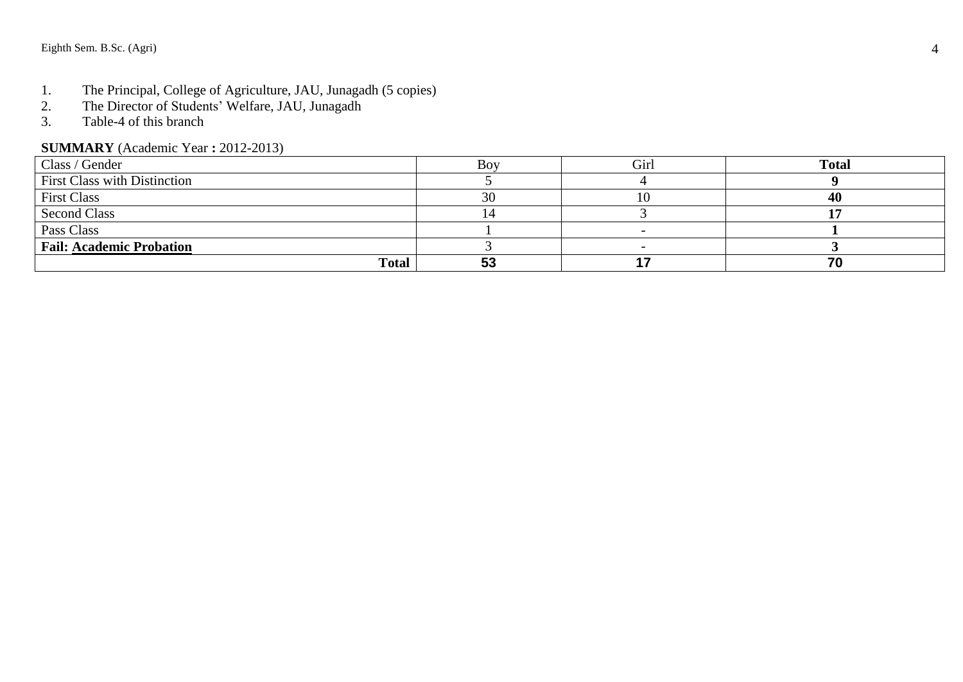- 1. The Principal, College of Agriculture, JAU, Junagadh (5 copies)<br>2. The Director of Students' Welfare, JAU, Junagadh
- 2. The Director of Students' Welfare, JAU, Junagadh<br>3. Table-4 of this branch
- 3. Table -4 of this branch

### **SUMMARY** (Academic Year **:** 2012 -2013)

| Class / Gender                  | Bov       | Girl | <b>Total</b> |
|---------------------------------|-----------|------|--------------|
| First Class with Distinction    |           |      |              |
| <b>First Class</b>              | 30        | ГO   | 40           |
| <b>Second Class</b>             |           |      |              |
| Pass Class                      |           |      |              |
| <b>Fail: Academic Probation</b> |           |      |              |
| <b>Total</b>                    | г о<br>აა |      | 70           |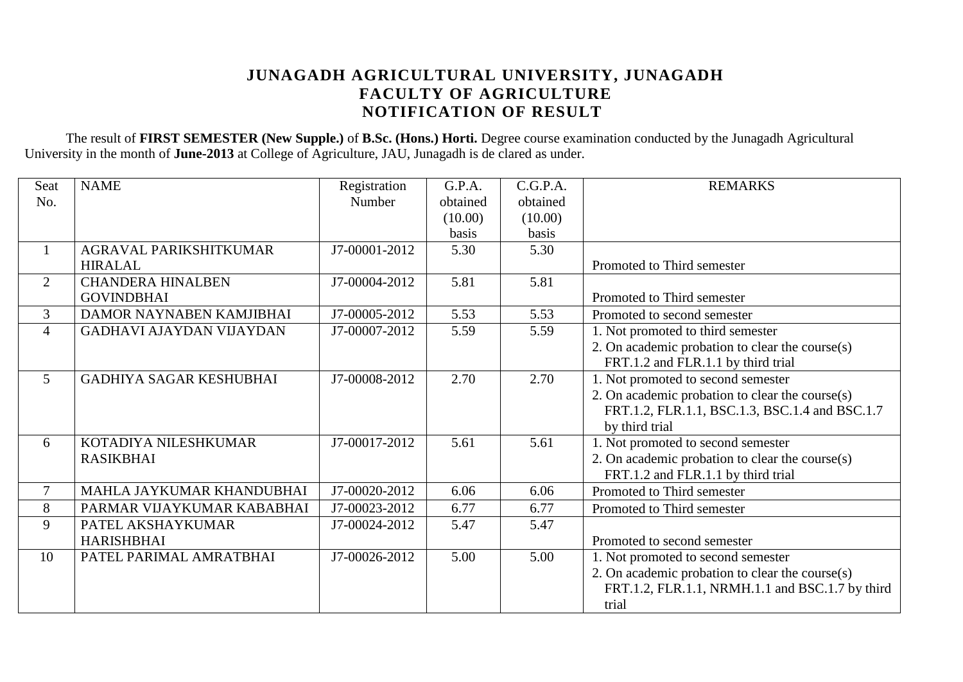### **JUNAGADH AGRICULTURAL UNIVERSITY, JUNAGADH FACULTY OF AGRICULTURE NOTIFICATION OF RESULT**

The result of **FIRST SEMESTER (New Supple.)** of **B.Sc. (Hons.) Horti.** Degree course examination conducted by the Junagadh Agricultural University in the month of **June-2013** at College of Agriculture, JAU, Junagadh is de clared as under.

| Seat           | <b>NAME</b>                     | Registration  | G.P.A.       | C.G.P.A. | <b>REMARKS</b>                                  |
|----------------|---------------------------------|---------------|--------------|----------|-------------------------------------------------|
| No.            |                                 | Number        | obtained     | obtained |                                                 |
|                |                                 |               | (10.00)      | (10.00)  |                                                 |
|                |                                 |               | <b>basis</b> | basis    |                                                 |
| $\mathbf{1}$   | AGRAVAL PARIKSHITKUMAR          | J7-00001-2012 | 5.30         | 5.30     |                                                 |
|                | <b>HIRALAL</b>                  |               |              |          | Promoted to Third semester                      |
| $\overline{2}$ | <b>CHANDERA HINALBEN</b>        | J7-00004-2012 | 5.81         | 5.81     |                                                 |
|                | <b>GOVINDBHAI</b>               |               |              |          | Promoted to Third semester                      |
| 3              | DAMOR NAYNABEN KAMJIBHAI        | J7-00005-2012 | 5.53         | 5.53     | Promoted to second semester                     |
| 4              | <b>GADHAVI AJAYDAN VIJAYDAN</b> | J7-00007-2012 | 5.59         | 5.59     | 1. Not promoted to third semester               |
|                |                                 |               |              |          | 2. On academic probation to clear the course(s) |
|                |                                 |               |              |          | FRT.1.2 and FLR.1.1 by third trial              |
| $5^{\circ}$    | <b>GADHIYA SAGAR KESHUBHAI</b>  | J7-00008-2012 | 2.70         | 2.70     | 1. Not promoted to second semester              |
|                |                                 |               |              |          | 2. On academic probation to clear the course(s) |
|                |                                 |               |              |          | FRT.1.2, FLR.1.1, BSC.1.3, BSC.1.4 and BSC.1.7  |
|                |                                 |               |              |          | by third trial                                  |
| 6              | KOTADIYA NILESHKUMAR            | J7-00017-2012 | 5.61         | 5.61     | 1. Not promoted to second semester              |
|                | <b>RASIKBHAI</b>                |               |              |          | 2. On academic probation to clear the course(s) |
|                |                                 |               |              |          | FRT.1.2 and FLR.1.1 by third trial              |
| $\overline{7}$ | MAHLA JAYKUMAR KHANDUBHAI       | J7-00020-2012 | 6.06         | 6.06     | Promoted to Third semester                      |
| 8              | PARMAR VIJAYKUMAR KABABHAI      | J7-00023-2012 | 6.77         | 6.77     | Promoted to Third semester                      |
| 9              | PATEL AKSHAYKUMAR               | J7-00024-2012 | 5.47         | 5.47     |                                                 |
|                | <b>HARISHBHAI</b>               |               |              |          | Promoted to second semester                     |
| 10             | PATEL PARIMAL AMRATBHAI         | J7-00026-2012 | 5.00         | 5.00     | 1. Not promoted to second semester              |
|                |                                 |               |              |          | 2. On academic probation to clear the course(s) |
|                |                                 |               |              |          | FRT.1.2, FLR.1.1, NRMH.1.1 and BSC.1.7 by third |
|                |                                 |               |              |          | trial                                           |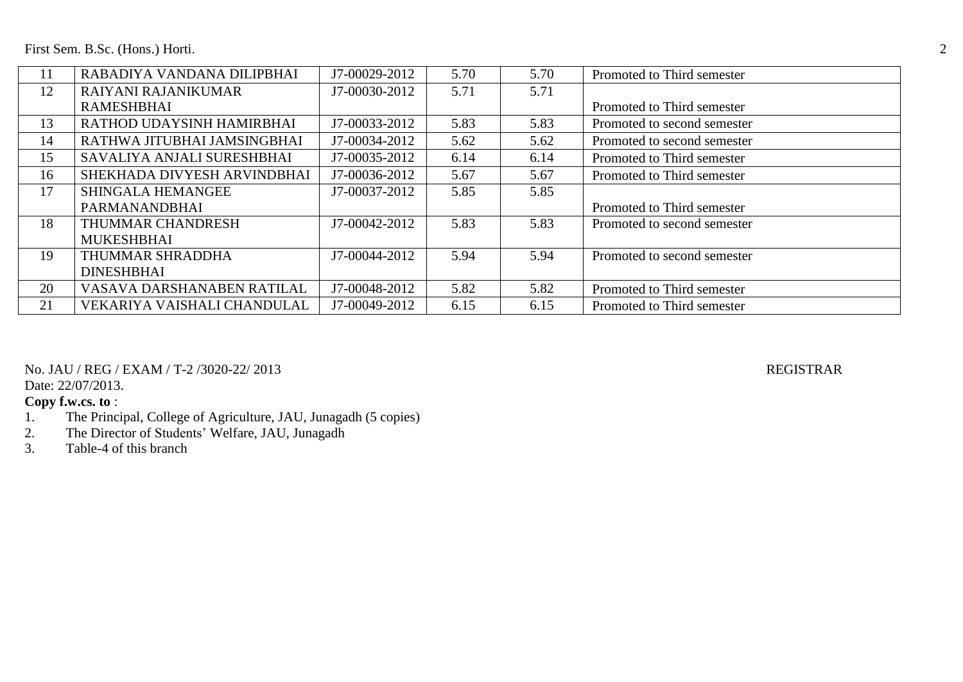First Sem. B.Sc. (Hons.) Horti. 2

| 11 | RABADIYA VANDANA DILIPBHAI  | J7-00029-2012 | 5.70 | 5.70 | Promoted to Third semester  |
|----|-----------------------------|---------------|------|------|-----------------------------|
| 12 | RAIYANI RAJANIKUMAR         | J7-00030-2012 | 5.71 | 5.71 |                             |
|    | <b>RAMESHBHAI</b>           |               |      |      | Promoted to Third semester  |
| 13 | RATHOD UDAYSINH HAMIRBHAI   | J7-00033-2012 | 5.83 | 5.83 | Promoted to second semester |
| 14 | RATHWA JITUBHAI JAMSINGBHAI | J7-00034-2012 | 5.62 | 5.62 | Promoted to second semester |
| 15 | SAVALIYA ANJALI SURESHBHAI  | J7-00035-2012 | 6.14 | 6.14 | Promoted to Third semester  |
| 16 | SHEKHADA DIVYESH ARVINDBHAI | J7-00036-2012 | 5.67 | 5.67 | Promoted to Third semester  |
| 17 | <b>SHINGALA HEMANGEE</b>    | J7-00037-2012 | 5.85 | 5.85 |                             |
|    | PARMANANDBHAI               |               |      |      | Promoted to Third semester  |
| 18 | THUMMAR CHANDRESH           | J7-00042-2012 | 5.83 | 5.83 | Promoted to second semester |
|    | <b>MUKESHBHAI</b>           |               |      |      |                             |
| 19 | THUMMAR SHRADDHA            | J7-00044-2012 | 5.94 | 5.94 | Promoted to second semester |
|    | <b>DINESHBHAI</b>           |               |      |      |                             |
| 20 | VASAVA DARSHANABEN RATILAL  | J7-00048-2012 | 5.82 | 5.82 | Promoted to Third semester  |
| 21 | VEKARIYA VAISHALI CHANDULAL | J7-00049-2012 | 6.15 | 6.15 | Promoted to Third semester  |

No. JAU / REG / EXAM / T-2 /3020-22/ 2013 REGISTRAR

Date: 22/07/2013.

# **Copy f.w.cs. to** :<br>1. The Princ

- 1. The Principal, College of Agriculture, JAU, Junagadh (5 copies)<br>2. The Director of Students' Welfare, JAU, Junagadh
- 2. The Director of Students' Welfare, JAU, Junagadh<br>3. Table-4 of this branch
- Table-4 of this branch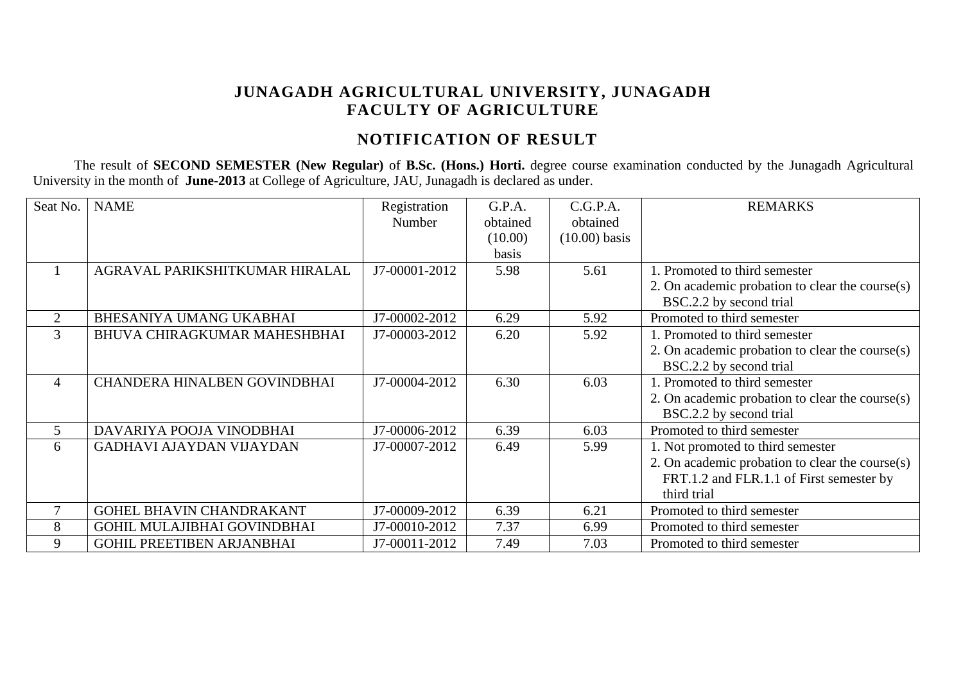# **JUNAGADH AGRICULTURAL UNIVERSITY, JUNAGADH FACULTY OF AGRICULTURE**

# **NOTIFICATION OF RESULT**

The result of **SECOND SEMESTER (New Regular)** of **B.Sc. (Hons.) Horti.** degree course examination conducted by the Junagadh Agricultural University in the month of **June-2013** at College of Agriculture, JAU, Junagadh is declared as under.

| Seat No.       | <b>NAME</b>                         | Registration  | G.P.A.   | C.G.P.A.        | <b>REMARKS</b>                                     |
|----------------|-------------------------------------|---------------|----------|-----------------|----------------------------------------------------|
|                |                                     | Number        | obtained | obtained        |                                                    |
|                |                                     |               | (10.00)  | $(10.00)$ basis |                                                    |
|                |                                     |               | basis    |                 |                                                    |
|                | AGRAVAL PARIKSHITKUMAR HIRALAL      | J7-00001-2012 | 5.98     | 5.61            | 1. Promoted to third semester                      |
|                |                                     |               |          |                 | 2. On academic probation to clear the course(s)    |
|                |                                     |               |          |                 | BSC.2.2 by second trial                            |
| 2              | BHESANIYA UMANG UKABHAI             | J7-00002-2012 | 6.29     | 5.92            | Promoted to third semester                         |
| 3              | BHUVA CHIRAGKUMAR MAHESHBHAI        | J7-00003-2012 | 6.20     | 5.92            | 1. Promoted to third semester                      |
|                |                                     |               |          |                 | 2. On academic probation to clear the course(s)    |
|                |                                     |               |          |                 | BSC.2.2 by second trial                            |
| $\overline{4}$ | <b>CHANDERA HINALBEN GOVINDBHAI</b> | J7-00004-2012 | 6.30     | 6.03            | 1. Promoted to third semester                      |
|                |                                     |               |          |                 | 2. On academic probation to clear the course(s)    |
|                |                                     |               |          |                 | BSC.2.2 by second trial                            |
| 5              | DAVARIYA POOJA VINODBHAI            | J7-00006-2012 | 6.39     | 6.03            | Promoted to third semester                         |
| 6              | <b>GADHAVI AJAYDAN VIJAYDAN</b>     | J7-00007-2012 | 6.49     | 5.99            | 1. Not promoted to third semester                  |
|                |                                     |               |          |                 | 2. On academic probation to clear the course $(s)$ |
|                |                                     |               |          |                 | FRT.1.2 and FLR.1.1 of First semester by           |
|                |                                     |               |          |                 | third trial                                        |
| $\tau$         | <b>GOHEL BHAVIN CHANDRAKANT</b>     | J7-00009-2012 | 6.39     | 6.21            | Promoted to third semester                         |
| 8              | <b>GOHIL MULAJIBHAI GOVINDBHAI</b>  | J7-00010-2012 | 7.37     | 6.99            | Promoted to third semester                         |
| 9              | <b>GOHIL PREETIBEN ARJANBHAI</b>    | J7-00011-2012 | 7.49     | 7.03            | Promoted to third semester                         |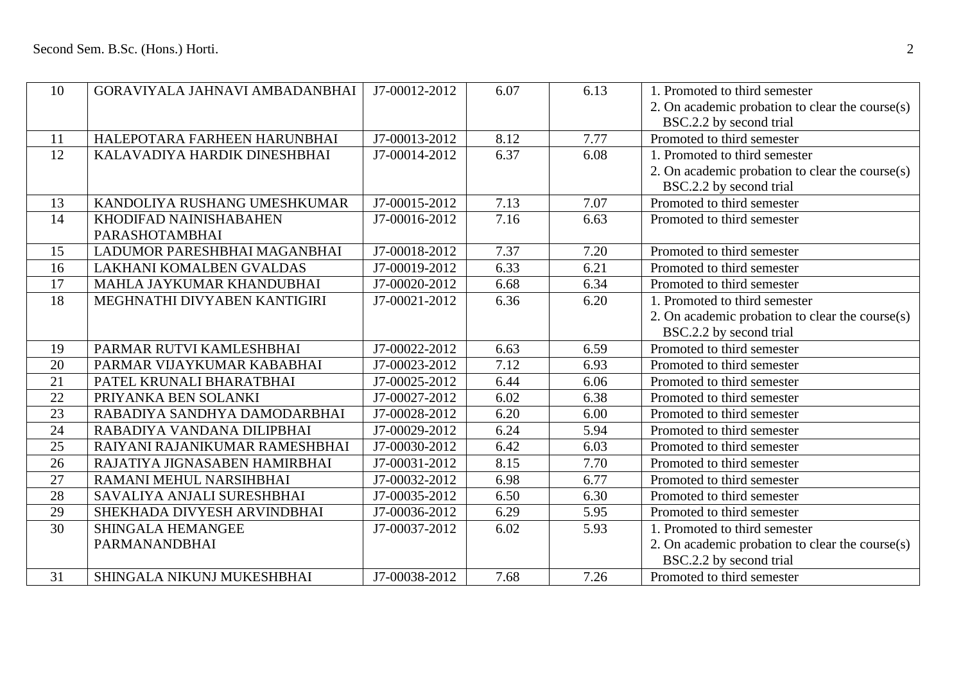| 10 | GORAVIYALA JAHNAVI AMBADANBHAI | J7-00012-2012 | 6.07 | 6.13 | 1. Promoted to third semester                   |
|----|--------------------------------|---------------|------|------|-------------------------------------------------|
|    |                                |               |      |      | 2. On academic probation to clear the course(s) |
|    |                                |               |      |      | BSC.2.2 by second trial                         |
| 11 | HALEPOTARA FARHEEN HARUNBHAI   | J7-00013-2012 | 8.12 | 7.77 | Promoted to third semester                      |
| 12 | KALAVADIYA HARDIK DINESHBHAI   | J7-00014-2012 | 6.37 | 6.08 | 1. Promoted to third semester                   |
|    |                                |               |      |      | 2. On academic probation to clear the course(s) |
|    |                                |               |      |      | BSC.2.2 by second trial                         |
| 13 | KANDOLIYA RUSHANG UMESHKUMAR   | J7-00015-2012 | 7.13 | 7.07 | Promoted to third semester                      |
| 14 | KHODIFAD NAINISHABAHEN         | J7-00016-2012 | 7.16 | 6.63 | Promoted to third semester                      |
|    | PARASHOTAMBHAI                 |               |      |      |                                                 |
| 15 | LADUMOR PARESHBHAI MAGANBHAI   | J7-00018-2012 | 7.37 | 7.20 | Promoted to third semester                      |
| 16 | LAKHANI KOMALBEN GVALDAS       | J7-00019-2012 | 6.33 | 6.21 | Promoted to third semester                      |
| 17 | MAHLA JAYKUMAR KHANDUBHAI      | J7-00020-2012 | 6.68 | 6.34 | Promoted to third semester                      |
| 18 | MEGHNATHI DIVYABEN KANTIGIRI   | J7-00021-2012 | 6.36 | 6.20 | 1. Promoted to third semester                   |
|    |                                |               |      |      | 2. On academic probation to clear the course(s) |
|    |                                |               |      |      | BSC.2.2 by second trial                         |
| 19 | PARMAR RUTVI KAMLESHBHAI       | J7-00022-2012 | 6.63 | 6.59 | Promoted to third semester                      |
| 20 | PARMAR VIJAYKUMAR KABABHAI     | J7-00023-2012 | 7.12 | 6.93 | Promoted to third semester                      |
| 21 | PATEL KRUNALI BHARATBHAI       | J7-00025-2012 | 6.44 | 6.06 | Promoted to third semester                      |
| 22 | PRIYANKA BEN SOLANKI           | J7-00027-2012 | 6.02 | 6.38 | Promoted to third semester                      |
| 23 | RABADIYA SANDHYA DAMODARBHAI   | J7-00028-2012 | 6.20 | 6.00 | Promoted to third semester                      |
| 24 | RABADIYA VANDANA DILIPBHAI     | J7-00029-2012 | 6.24 | 5.94 | Promoted to third semester                      |
| 25 | RAIYANI RAJANIKUMAR RAMESHBHAI | J7-00030-2012 | 6.42 | 6.03 | Promoted to third semester                      |
| 26 | RAJATIYA JIGNASABEN HAMIRBHAI  | J7-00031-2012 | 8.15 | 7.70 | Promoted to third semester                      |
| 27 | RAMANI MEHUL NARSIHBHAI        | J7-00032-2012 | 6.98 | 6.77 | Promoted to third semester                      |
| 28 | SAVALIYA ANJALI SURESHBHAI     | J7-00035-2012 | 6.50 | 6.30 | Promoted to third semester                      |
| 29 | SHEKHADA DIVYESH ARVINDBHAI    | J7-00036-2012 | 6.29 | 5.95 | Promoted to third semester                      |
| 30 | <b>SHINGALA HEMANGEE</b>       | J7-00037-2012 | 6.02 | 5.93 | 1. Promoted to third semester                   |
|    | PARMANANDBHAI                  |               |      |      | 2. On academic probation to clear the course(s) |
|    |                                |               |      |      | BSC.2.2 by second trial                         |
| 31 | SHINGALA NIKUNJ MUKESHBHAI     | J7-00038-2012 | 7.68 | 7.26 | Promoted to third semester                      |